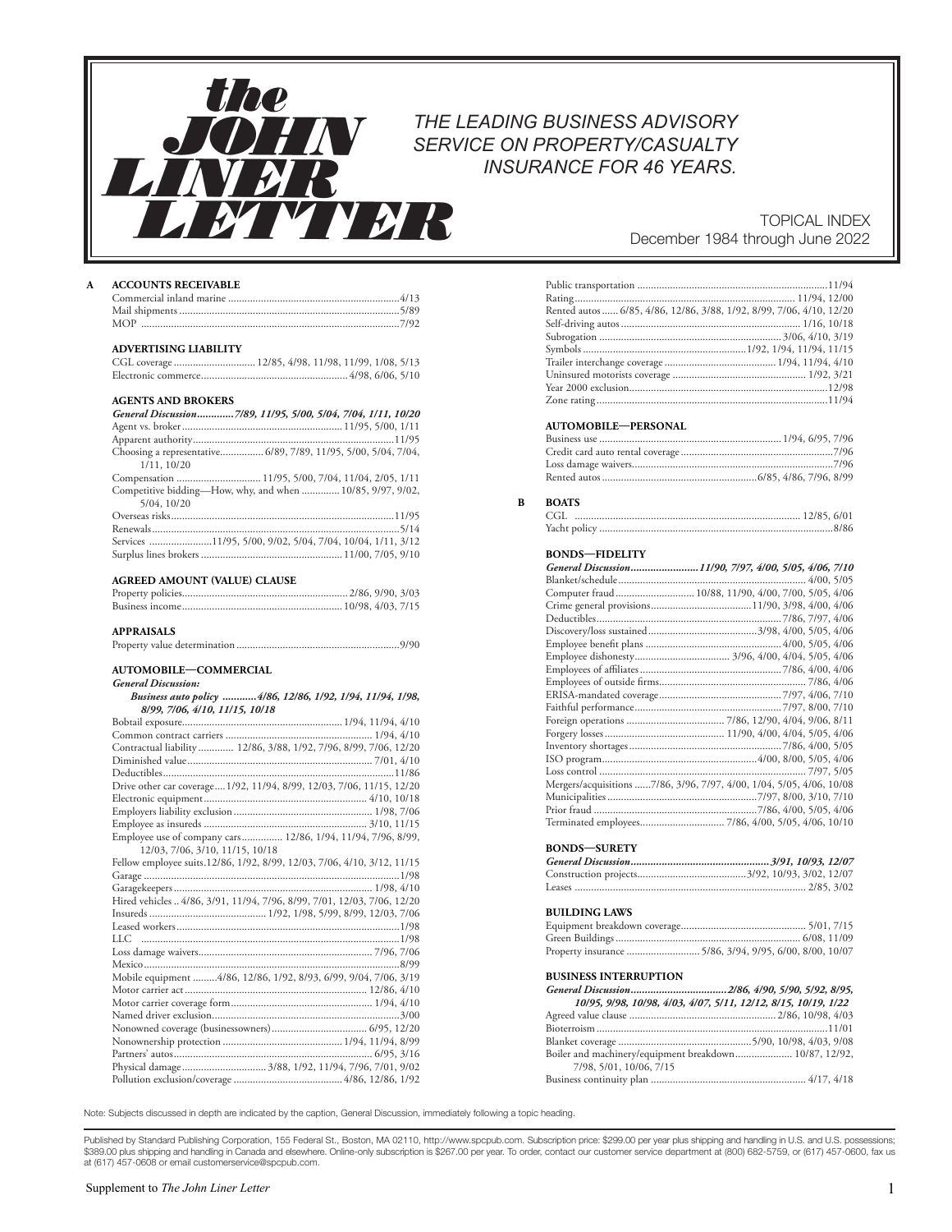## *THE LEADING BUSINESS ADVISORY SERVICE ON PROPERTY/CASUALTY INSURANCE FOR 46 YEARS.*

### TOPICAL INDEX December 1984 through June 2022

### **A ACCOUNTS RECEIVABLE**

V DI R

the

### **ADVERTISING LIABILITY**

### **AGENTS AND BROKERS**

| General Discussion7/89, 11/95, 5/00, 5/04, 7/04, 1/11, 10/20   |
|----------------------------------------------------------------|
|                                                                |
|                                                                |
| Choosing a representative 6/89, 7/89, 11/95, 5/00, 5/04, 7/04, |
| 1/11, 10/20                                                    |
| Compensation  11/95, 5/00, 7/04, 11/04, 2/05, 1/11             |
| Competitive bidding—How, why, and when  10/85, 9/97, 9/02,     |
| 5/04, 10/20                                                    |
|                                                                |
|                                                                |
| Services 11/95, 5/00, 9/02, 5/04, 7/04, 10/04, 1/11, 3/12      |
|                                                                |
|                                                                |

### **AGREED AMOUNT (VALUE) CLAUSE**

| AGIALLD AINOUNT (VALUL) CLAUSL |  |
|--------------------------------|--|
|                                |  |
|                                |  |

### **APPRAISALS**

*General Discussion:* 

|--|--|

#### **AUTOMOBILE—COMMERCIAL**

| Business auto policy  4/86, 12/86, 1/92, 1/94, 11/94, 1/98,             |
|-------------------------------------------------------------------------|
| 8/99, 7/06, 4/10, 11/15, 10/18                                          |
|                                                                         |
|                                                                         |
| Contractual liability  12/86, 3/88, 1/92, 7/96, 8/99, 7/06, 12/20       |
|                                                                         |
|                                                                         |
| Drive other car coverage1/92, 11/94, 8/99, 12/03, 7/06, 11/15, 12/20    |
|                                                                         |
|                                                                         |
|                                                                         |
| Employee use of company cars 12/86, 1/94, 11/94, 7/96, 8/99,            |
| 12/03, 7/06, 3/10, 11/15, 10/18                                         |
| Fellow employee suits.12/86, 1/92, 8/99, 12/03, 7/06, 4/10, 3/12, 11/15 |
|                                                                         |
|                                                                         |
| Hired vehicles  4/86, 3/91, 11/94, 7/96, 8/99, 7/01, 12/03, 7/06, 12/20 |
|                                                                         |
|                                                                         |
|                                                                         |
|                                                                         |
|                                                                         |
| Mobile equipment 4/86, 12/86, 1/92, 8/93, 6/99, 9/04, 7/06, 3/19        |
|                                                                         |
|                                                                         |
|                                                                         |
|                                                                         |
|                                                                         |
|                                                                         |
| Physical damage 3/88, 1/92, 11/94, 7/96, 7/01, 9/02                     |
|                                                                         |

| Rented autos  6/85, 4/86, 12/86, 3/88, 1/92, 8/99, 7/06, 4/10, 12/20 |  |
|----------------------------------------------------------------------|--|
|                                                                      |  |
|                                                                      |  |
|                                                                      |  |
|                                                                      |  |
|                                                                      |  |
|                                                                      |  |
|                                                                      |  |

### **AUTOMOBILE—PERSONAL**

### **B BOATS**

| CGL |  |
|-----|--|
|     |  |

### **BONDS—FIDELITY**

| General Discussion11/90, 7/97, 4/00, 5/05, 4/06, 7/10                |  |  |
|----------------------------------------------------------------------|--|--|
|                                                                      |  |  |
| Computer fraud 10/88, 11/90, 4/00, 7/00, 5/05, 4/06                  |  |  |
|                                                                      |  |  |
|                                                                      |  |  |
|                                                                      |  |  |
|                                                                      |  |  |
|                                                                      |  |  |
|                                                                      |  |  |
|                                                                      |  |  |
|                                                                      |  |  |
|                                                                      |  |  |
|                                                                      |  |  |
|                                                                      |  |  |
|                                                                      |  |  |
|                                                                      |  |  |
|                                                                      |  |  |
| Mergers/acquisitions 7/86, 3/96, 7/97, 4/00, 1/04, 5/05, 4/06, 10/08 |  |  |
|                                                                      |  |  |
|                                                                      |  |  |
|                                                                      |  |  |
|                                                                      |  |  |

### **BONDS—SURETY**

### **BUILDING LAWS**

### **BUSINESS INTERRUPTION**

| 10/95, 9/98, 10/98, 4/03, 4/07, 5/11, 12/12, 8/15, 10/19, 1/22 |  |
|----------------------------------------------------------------|--|
|                                                                |  |
|                                                                |  |
|                                                                |  |
| Boiler and machinery/equipment breakdown 10/87, 12/92,         |  |
| 7/98, 5/01, 10/06, 7/15                                        |  |
|                                                                |  |

Note: Subjects discussed in depth are indicated by the caption, General Discussion, immediately following a topic heading.

Published by Standard Publishing Corporation, 155 Federal St., Boston, MA 02110, http://www.spcpub.com. Subscription price: \$299.00 per year plus shipping and handling in U.S. and U.S. possessions; \$389.00 plus shipping and handling in Canada and elsewhere. Online-only subscription is \$267.00 per year. To order, contact our customer service department at (800) 682-5759, or (617) 457-0600, fax us<br>at (617) 457-0608 or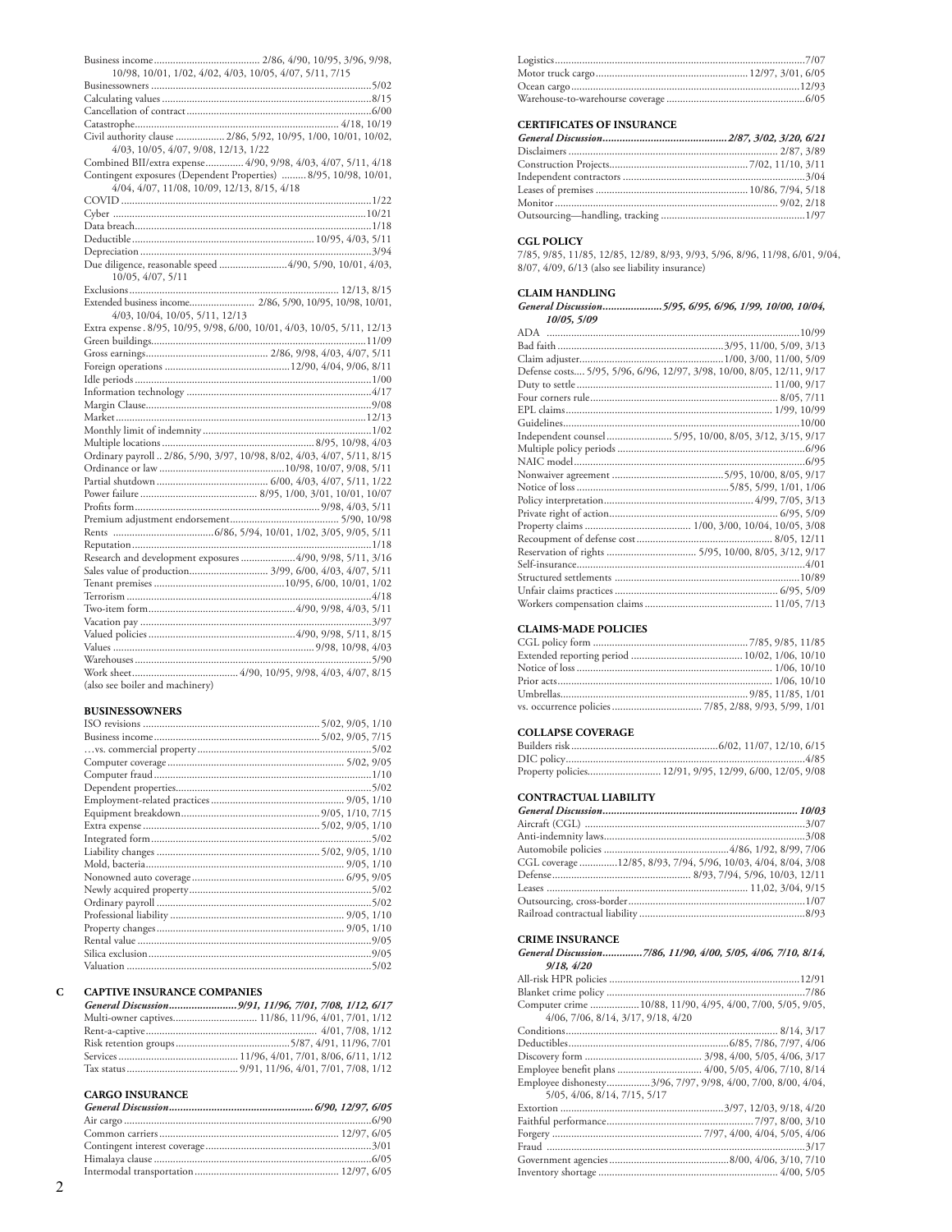| 10/98, 10/01, 1/02, 4/02, 4/03, 10/05, 4/07, 5/11, 7/15                 |
|-------------------------------------------------------------------------|
|                                                                         |
|                                                                         |
|                                                                         |
|                                                                         |
| Civil authority clause  2/86, 5/92, 10/95, 1/00, 10/01, 10/02,          |
| 4/03, 10/05, 4/07, 9/08, 12/13, 1/22                                    |
| Combined BII/extra expense 4/90, 9/98, 4/03, 4/07, 5/11, 4/18           |
| Contingent exposures (Dependent Properties)  8/95, 10/98, 10/01,        |
| 4/04, 4/07, 11/08, 10/09, 12/13, 8/15, 4/18                             |
|                                                                         |
|                                                                         |
|                                                                         |
|                                                                         |
|                                                                         |
|                                                                         |
| Due diligence, reasonable speed 4/90, 5/90, 10/01, 4/03,                |
| 10/05, 4/07, 5/11                                                       |
|                                                                         |
| Extended business income 2/86, 5/90, 10/95, 10/98, 10/01,               |
| 4/03, 10/04, 10/05, 5/11, 12/13                                         |
| Extra expense. 8/95, 10/95, 9/98, 6/00, 10/01, 4/03, 10/05, 5/11, 12/13 |
|                                                                         |
|                                                                         |
|                                                                         |
|                                                                         |
|                                                                         |
|                                                                         |
|                                                                         |
|                                                                         |
|                                                                         |
| Ordinary payroll  2/86, 5/90, 3/97, 10/98, 8/02, 4/03, 4/07, 5/11, 8/15 |
|                                                                         |
|                                                                         |
|                                                                         |
|                                                                         |
|                                                                         |
|                                                                         |
|                                                                         |
|                                                                         |
| Research and development exposures 4/90, 9/98, 5/11, 3/16               |
| Sales value of production 3/99, 6/00, 4/03, 4/07, 5/11                  |
|                                                                         |
|                                                                         |
|                                                                         |
|                                                                         |
|                                                                         |
|                                                                         |
|                                                                         |
|                                                                         |
| (also see boiler and machinery)                                         |

### **BUSINESSOWNERS**

| Valuation | 5/02 |
|-----------|------|

#### $\mathbf{C}$ **CAPTIVE INSURANCE COMPANIES**

# **CARGO INSURANCE**<br>General Discussion.........

| <b>CARGO INSURANCE</b> |  |
|------------------------|--|
|                        |  |
|                        |  |
|                        |  |
|                        |  |
|                        |  |
|                        |  |

### **CERTIFICATES OF INSURANCE**

### **CGL POLICY**

7/85, 9/85, 11/85, 12/85, 12/89, 8/93, 9/93, 5/96, 8/96, 11/98, 6/01, 9/04, 8/07, 4/09, 6/13 (also see liability insurance)

### **CLAIM HANDLING**

| General Discussion5/95, 6/95, 6/96, 1/99, 10/00, 10/04,               |
|-----------------------------------------------------------------------|
| 10/05, 5/09                                                           |
|                                                                       |
|                                                                       |
|                                                                       |
| Defense costs 5/95, 5/96, 6/96, 12/97, 3/98, 10/00, 8/05, 12/11, 9/17 |
|                                                                       |
|                                                                       |
|                                                                       |
|                                                                       |
| Independent counsel  5/95, 10/00, 8/05, 3/12, 3/15, 9/17              |
|                                                                       |
|                                                                       |
|                                                                       |
|                                                                       |
|                                                                       |
|                                                                       |
|                                                                       |
|                                                                       |
|                                                                       |
|                                                                       |
|                                                                       |
|                                                                       |
|                                                                       |

### **CLAIMS-MADE POLICIES**

### **COLLAPSE COVERAGE**

| Property policies 12/91, 9/95, 12/99, 6/00, 12/05, 9/08 |  |  |
|---------------------------------------------------------|--|--|

### CONTRACTUAL LIABILITY

| CGL coverage 12/85, 8/93, 7/94, 5/96, 10/03, 4/04, 8/04, 3/08 |  |
|---------------------------------------------------------------|--|
|                                                               |  |
|                                                               |  |
|                                                               |  |
|                                                               |  |

### **CRIME INSURANCE**

| General Discussion7/86, 11/90, 4/00, 5/05, 4/06, 7/10, 8/14, |
|--------------------------------------------------------------|
|                                                              |
|                                                              |
|                                                              |
| Computer crime 10/88, 11/90, 4/95, 4/00, 7/00, 5/05, 9/05,   |
|                                                              |
|                                                              |
|                                                              |
|                                                              |
| Employee benefit plans  4/00, 5/05, 4/06, 7/10, 8/14         |
| Employee dishonesty3/96, 7/97, 9/98, 4/00, 7/00, 8/00, 4/04, |
|                                                              |
|                                                              |
|                                                              |
|                                                              |
|                                                              |
|                                                              |
|                                                              |
|                                                              |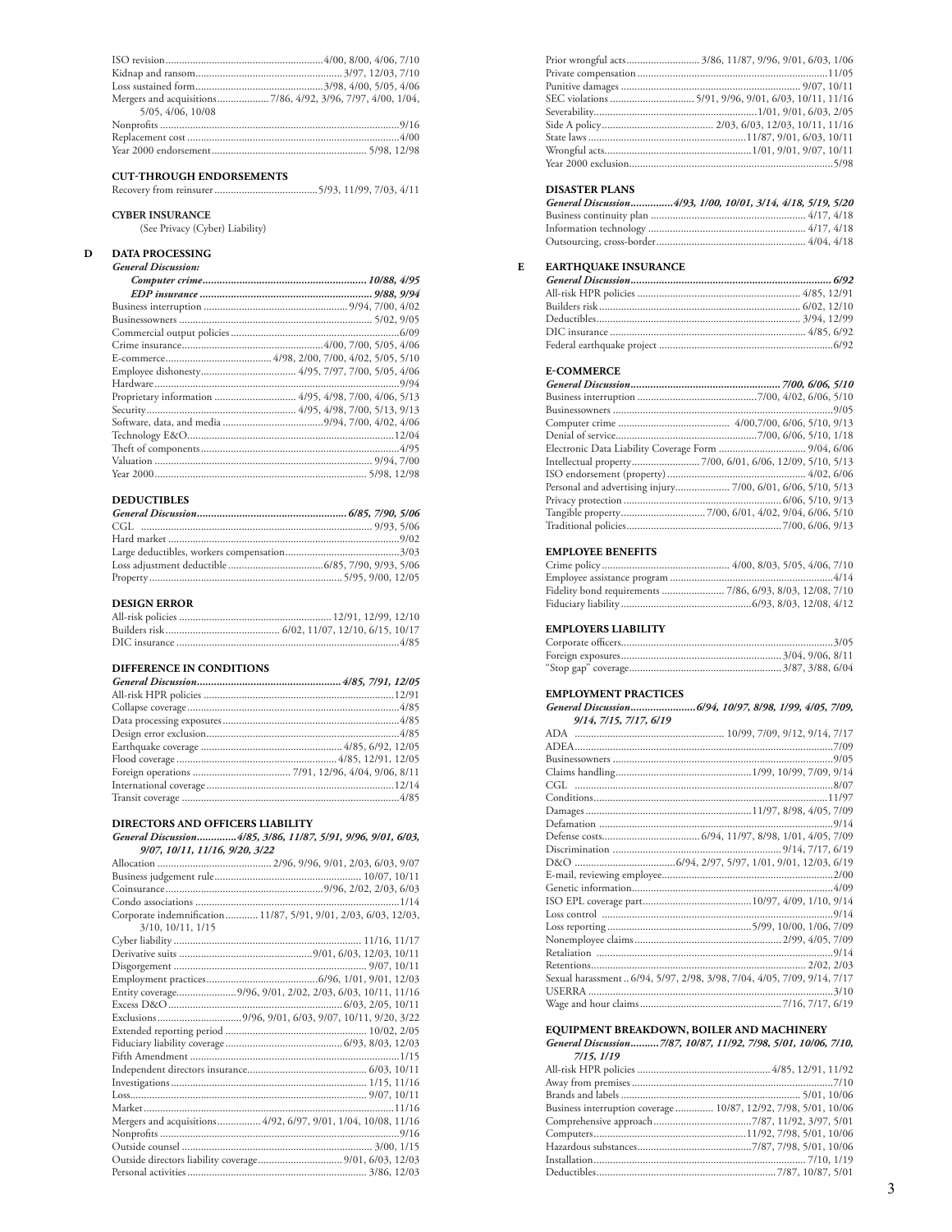| 5/05, 4/06, 10/08 |  |
|-------------------|--|
|                   |  |
|                   |  |
|                   |  |

#### **CUT-THROUGH ENDORSEMENTS**

Recovery from reinsurer......................................5/93, 11/99, 7/03, 4/11

### **CYBER INSURANCE**

(See Privacy (Cyber) Liability)

## **D DATA PROCESSING**

| Proprietary information  4/95, 4/98, 7/00, 4/06, 5/13 |
|-------------------------------------------------------|
|                                                       |
|                                                       |
|                                                       |
|                                                       |
|                                                       |
|                                                       |
|                                                       |

### **DEDUCTIBLES**

| <b>DEDUCTIBLES</b> |  |
|--------------------|--|
|                    |  |
|                    |  |
|                    |  |
|                    |  |
|                    |  |
|                    |  |

#### **DESIGN ERROR**

| DESIGN ERROR |  |
|--------------|--|
|              |  |
|              |  |
|              |  |

### **DIFFERENCE IN CONDITIONS**

### **DIRECTORS AND OFFICERS LIABILITY**

#### *General Discussion..............4/85, 3/86, 11/87, 5/91, 9/96, 9/01, 6/03, 9/07, 10/11, 11/16, 9/20, 3/22*

|                           | Corporate indemnification 11/87, 5/91, 9/01, 2/03, 6/03, 12/03, |
|---------------------------|-----------------------------------------------------------------|
| $3/10$ , $10/11$ , $1/15$ |                                                                 |
|                           |                                                                 |
|                           |                                                                 |
|                           |                                                                 |
|                           |                                                                 |
|                           | Entity coverage9/96, 9/01, 2/02, 2/03, 6/03, 10/11, 11/16       |
|                           |                                                                 |
|                           |                                                                 |
|                           |                                                                 |
|                           |                                                                 |
|                           |                                                                 |
|                           |                                                                 |
|                           |                                                                 |
|                           |                                                                 |
|                           |                                                                 |
|                           | Mergers and acquisitions 4/92, 6/97, 9/01, 1/04, 10/08, 11/16   |
|                           |                                                                 |
|                           |                                                                 |
|                           |                                                                 |
|                           |                                                                 |

| Prior wrongful acts 3/86, 11/87, 9/96, 9/01, 6/03, 1/06 |
|---------------------------------------------------------|
|                                                         |
|                                                         |
|                                                         |
|                                                         |
|                                                         |
|                                                         |
|                                                         |
|                                                         |

### **DISASTER PLANS**

| General Discussion4/93, 1/00, 10/01, 3/14, 4/18, 5/19, 5/20 |  |
|-------------------------------------------------------------|--|
|                                                             |  |
|                                                             |  |
|                                                             |  |

### **E EARTHQUAKE INSURANCE**

### **E-COMMERCE**

| Intellectual property7/00, 6/01, 6/06, 12/09, 5/10, 5/13     |  |
|--------------------------------------------------------------|--|
|                                                              |  |
| Personal and advertising injury 7/00, 6/01, 6/06, 5/10, 5/13 |  |
|                                                              |  |
|                                                              |  |
|                                                              |  |

### **EMPLOYEE BENEFITS**

| <b>EMIT LOTEL DEIVETTIO</b> |  |
|-----------------------------|--|
|                             |  |
|                             |  |
|                             |  |
|                             |  |

### **EMPLOYERS LIABILITY**

## **EMPLOYMENT PRACTICES**

| General Discussion 6/94, 10/97, 8/98, 1/99, 4/05, 7/09,                |
|------------------------------------------------------------------------|
| 9/14, 7/15, 7/17, 6/19                                                 |
|                                                                        |
|                                                                        |
|                                                                        |
|                                                                        |
|                                                                        |
|                                                                        |
|                                                                        |
|                                                                        |
|                                                                        |
|                                                                        |
|                                                                        |
|                                                                        |
|                                                                        |
|                                                                        |
|                                                                        |
|                                                                        |
|                                                                        |
|                                                                        |
|                                                                        |
| Sexual harassment 6/94, 5/97, 2/98, 3/98, 7/04, 4/05, 7/09, 9/14, 7/17 |
|                                                                        |
|                                                                        |

### **EQUIPMENT BREAKDOWN, BOILER AND MACHINERY**

*General Discussion..........7/87, 10/87, 11/92, 7/98, 5/01, 10/06, 7/10, 7/15, 1/19*

| Business interruption coverage  10/87, 12/92, 7/98, 5/01, 10/06 |  |
|-----------------------------------------------------------------|--|
|                                                                 |  |
|                                                                 |  |
|                                                                 |  |
|                                                                 |  |
|                                                                 |  |
|                                                                 |  |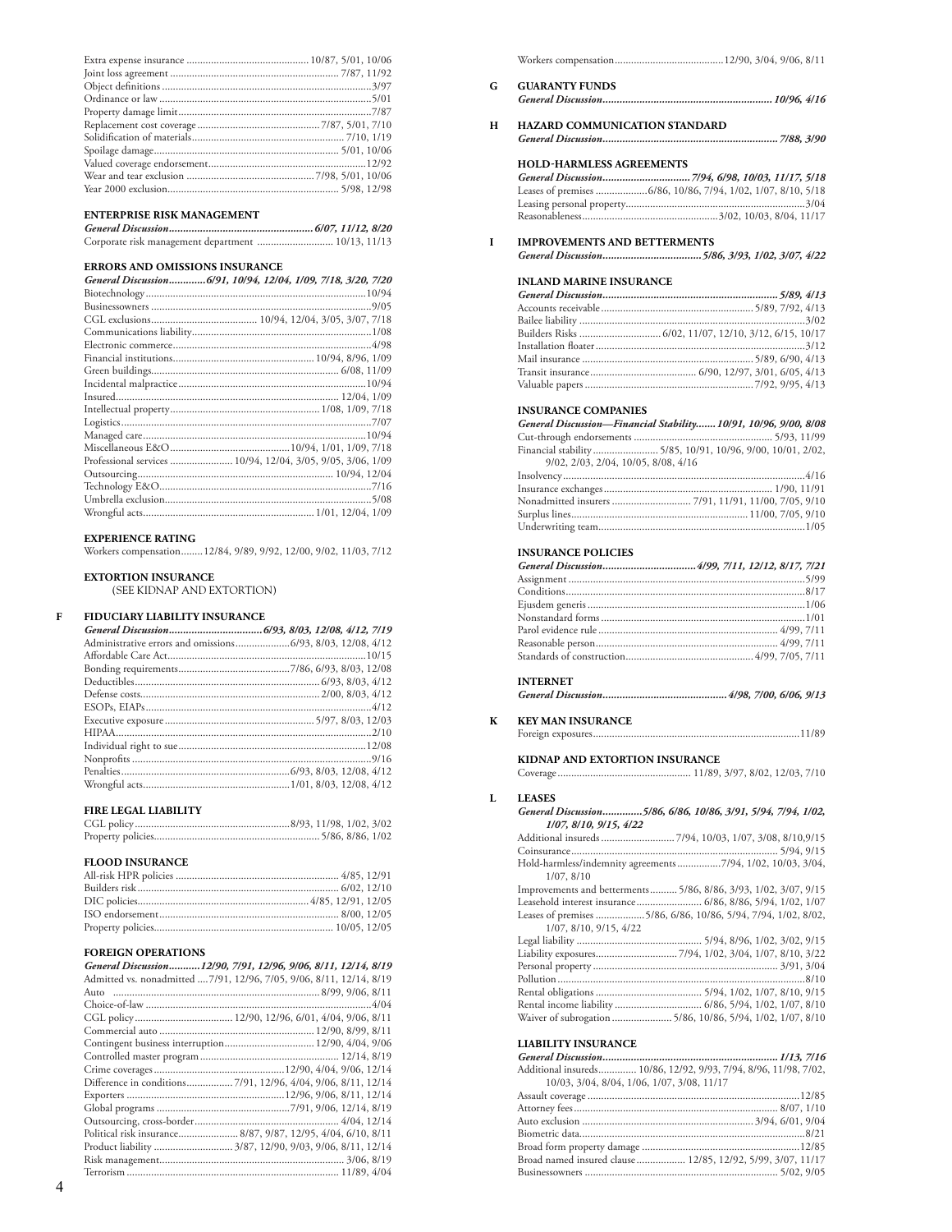## **ENTERPRISE RISK MANAGEMENT**<br>*General Discussion*

| Corporate risk management department  10/13, 11/13 |  |
|----------------------------------------------------|--|

### **ERRORS AND OMISSIONS INSURANCE**

| General Discussion6/91, 10/94, 12/04, 1/09, 7/18, 3/20, 7/20 |
|--------------------------------------------------------------|
|                                                              |
|                                                              |
|                                                              |
|                                                              |
|                                                              |
|                                                              |
|                                                              |
|                                                              |
|                                                              |
|                                                              |
|                                                              |
|                                                              |
|                                                              |
| Professional services  10/94, 12/04, 3/05, 9/05, 3/06, 1/09  |
|                                                              |
|                                                              |
|                                                              |
|                                                              |
|                                                              |

### **EXPERIENCE RATING**

Workers compensation........12/84, 9/89, 9/92, 12/00, 9/02, 11/03, 7/12

### **EXTORTION INSURANCE**

(SEE KIDNAP AND EXTORTION)

### **F FIDUCIARY LIABILITY INSURANCE**

### **FIRE LEGAL LIABILITY**

### **FLOOD INSURANCE**

### **FOREIGN OPERATIONS**

| FOREIGN OPERATIONS                                                   |
|----------------------------------------------------------------------|
| General Discussion12/90, 7/91, 12/96, 9/06, 8/11, 12/14, 8/19        |
| Admitted vs. nonadmitted  7/91, 12/96, 7/05, 9/06, 8/11, 12/14, 8/19 |
|                                                                      |
|                                                                      |
|                                                                      |
|                                                                      |
| Contingent business interruption 12/90, 4/04, 9/06                   |
|                                                                      |
|                                                                      |
|                                                                      |
|                                                                      |
|                                                                      |
|                                                                      |
|                                                                      |
|                                                                      |
|                                                                      |
|                                                                      |

|--|--|--|--|--|

- **G GUARANTY FUNDS** *General Discussion............................................................10/96, 4/16*
- **H HAZARD COMMUNICATION STANDARD** *General Discussion..............................................................7/88, 3/90*

### **HOLD-HARMLESS AGREEMENTS**

*General Discussion...............................7/94, 6/98, 10/03, 11/17, 5/18* Leases of premises ...................6/86, 10/86, 7/94, 1/02, 1/07, 8/10, 5/18 Leasing personal property..................................................................3/04 Reasonableness..................................................3/02, 10/03, 8/04, 11/17

#### **I IMPROVEMENTS AND BETTERMENTS**

*General Discussion...................................5/86, 3/93, 1/02, 3/07, 4/22*

### **INLAND MARINE INSURANCE**

### **INSURANCE COMPANIES**

| General Discussion-Financial Stability 10/91, 10/96, 9/00, 8/08 |
|-----------------------------------------------------------------|
|                                                                 |
| Financial stability 5/85, 10/91, 10/96, 9/00, 10/01, 2/02,      |
| 9/02, 2/03, 2/04, 10/05, 8/08, 4/16                             |
|                                                                 |
|                                                                 |
|                                                                 |
|                                                                 |
|                                                                 |

### **INSURANCE POLICIES**

### **INTERNET**

|--|--|--|--|--|--|

# **KEY MAN INSURANCE**<br>Foreign exposures................

Foreign exposures............................................................................11/89

### **KIDNAP AND EXTORTION INSURANCE**

Coverage................................................. 11/89, 3/97, 8/02, 12/03, 7/10

#### **L LEASES**

#### *General Discussion..............5/86, 6/86, 10/86, 3/91, 5/94, 7/94, 1/02, 1/07, 8/10, 9/15, 4/22*

| Hold-harmless/indemnity agreements 7/94, 1/02, 10/03, 3/04,     |
|-----------------------------------------------------------------|
| 1/07, 8/10                                                      |
| Improvements and betterments 5/86, 8/86, 3/93, 1/02, 3/07, 9/15 |
|                                                                 |
| Leases of premises 5/86, 6/86, 10/86, 5/94, 7/94, 1/02, 8/02,   |
| $1/07$ , $8/10$ , $9/15$ , $4/22$                               |
|                                                                 |
|                                                                 |
|                                                                 |
|                                                                 |
|                                                                 |
|                                                                 |
| Waiver of subrogation  5/86, 10/86, 5/94, 1/02, 1/07, 8/10      |

### **LIABILITY INSURANCE**

| Additional insureds 10/86, 12/92, 9/93, 7/94, 8/96, 11/98, 7/02, |  |
|------------------------------------------------------------------|--|
| 10/03, 3/04, 8/04, 1/06, 1/07, 3/08, 11/17                       |  |
|                                                                  |  |
|                                                                  |  |
|                                                                  |  |
|                                                                  |  |
|                                                                  |  |
| Broad named insured clause  12/85, 12/92, 5/99, 3/07, 11/17      |  |
|                                                                  |  |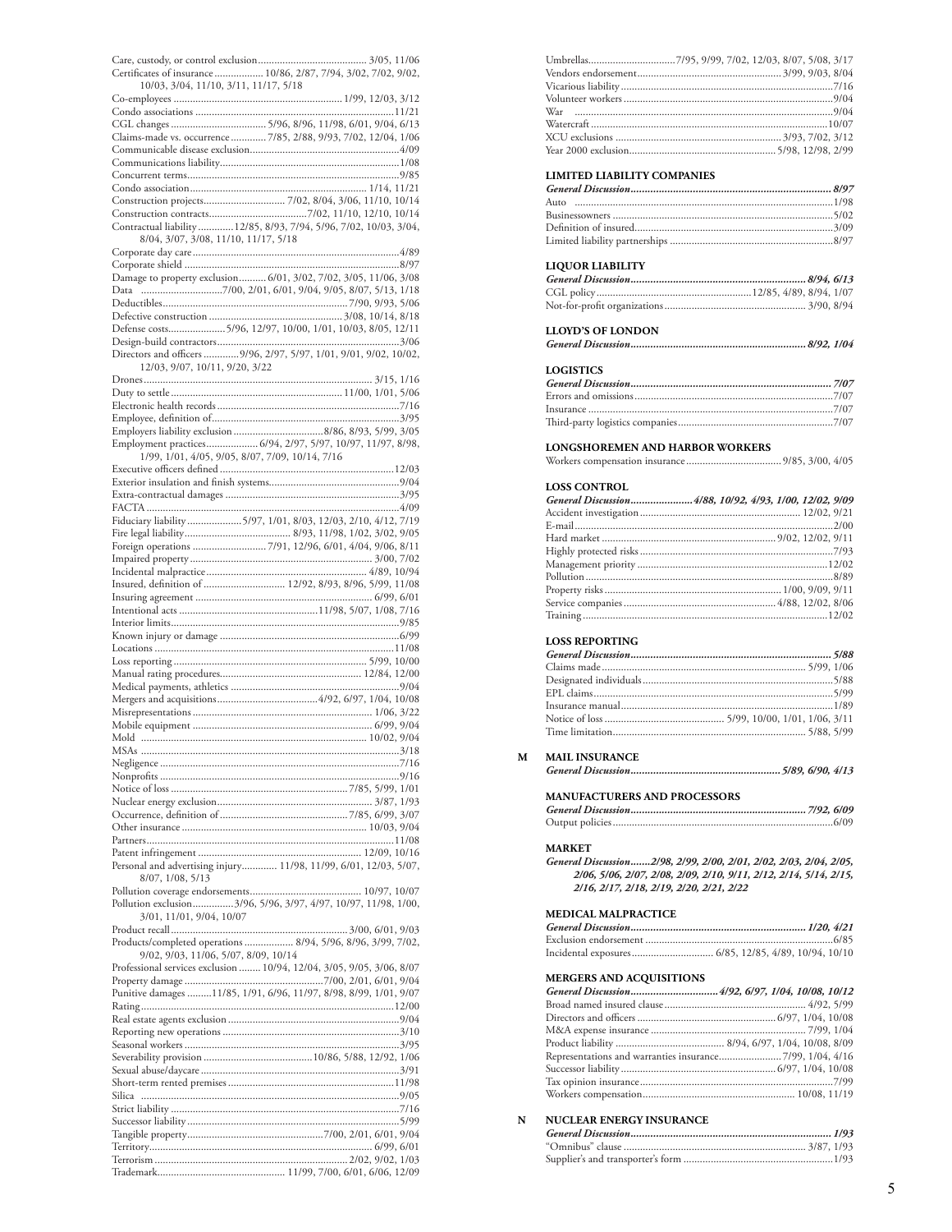| Certificates of insurance  10/86, 2/87, 7/94, 3/02, 7/02, 9/02,       |  |
|-----------------------------------------------------------------------|--|
| 10/03, 3/04, 11/10, 3/11, 11/17, 5/18                                 |  |
|                                                                       |  |
|                                                                       |  |
|                                                                       |  |
| Claims-made vs. occurrence  7/85, 2/88, 9/93, 7/02, 12/04, 1/06       |  |
|                                                                       |  |
|                                                                       |  |
|                                                                       |  |
|                                                                       |  |
|                                                                       |  |
|                                                                       |  |
|                                                                       |  |
| Contractual liability  12/85, 8/93, 7/94, 5/96, 7/02, 10/03, 3/04,    |  |
| 8/04, 3/07, 3/08, 11/10, 11/17, 5/18                                  |  |
|                                                                       |  |
|                                                                       |  |
| Damage to property exclusion 6/01, 3/02, 7/02, 3/05, 11/06, 3/08      |  |
|                                                                       |  |
|                                                                       |  |
|                                                                       |  |
| Defense costs5/96, 12/97, 10/00, 1/01, 10/03, 8/05, 12/11             |  |
|                                                                       |  |
| Directors and officers 9/96, 2/97, 5/97, 1/01, 9/01, 9/02, 10/02,     |  |
| 12/03, 9/07, 10/11, 9/20, 3/22                                        |  |
|                                                                       |  |
|                                                                       |  |
|                                                                       |  |
|                                                                       |  |
|                                                                       |  |
|                                                                       |  |
| Employment practices 6/94, 2/97, 5/97, 10/97, 11/97, 8/98,            |  |
| 1/99, 1/01, 4/05, 9/05, 8/07, 7/09, 10/14, 7/16                       |  |
|                                                                       |  |
|                                                                       |  |
|                                                                       |  |
|                                                                       |  |
| Fiduciary liability 5/97, 1/01, 8/03, 12/03, 2/10, 4/12, 7/19         |  |
|                                                                       |  |
|                                                                       |  |
|                                                                       |  |
|                                                                       |  |
|                                                                       |  |
| Insured, definition of  12/92, 8/93, 8/96, 5/99, 11/08                |  |
|                                                                       |  |
|                                                                       |  |
|                                                                       |  |
|                                                                       |  |
|                                                                       |  |
|                                                                       |  |
|                                                                       |  |
|                                                                       |  |
|                                                                       |  |
|                                                                       |  |
|                                                                       |  |
|                                                                       |  |
|                                                                       |  |
|                                                                       |  |
| MSAs                                                                  |  |
|                                                                       |  |
|                                                                       |  |
|                                                                       |  |
|                                                                       |  |
|                                                                       |  |
|                                                                       |  |
|                                                                       |  |
|                                                                       |  |
|                                                                       |  |
| Personal and advertising injury 11/98, 11/99, 6/01, 12/03, 5/07,      |  |
| 8/07, 1/08, 5/13                                                      |  |
|                                                                       |  |
| Pollution exclusion3/96, 5/96, 3/97, 4/97, 10/97, 11/98, 1/00,        |  |
| 3/01, 11/01, 9/04, 10/07                                              |  |
|                                                                       |  |
| Products/completed operations  8/94, 5/96, 8/96, 3/99, 7/02,          |  |
| 9/02, 9/03, 11/06, 5/07, 8/09, 10/14                                  |  |
|                                                                       |  |
| Professional services exclusion  10/94, 12/04, 3/05, 9/05, 3/06, 8/07 |  |
|                                                                       |  |
| Punitive damages 11/85, 1/91, 6/96, 11/97, 8/98, 8/99, 1/01, 9/07     |  |
|                                                                       |  |
|                                                                       |  |
|                                                                       |  |
|                                                                       |  |
|                                                                       |  |
|                                                                       |  |
|                                                                       |  |
|                                                                       |  |
|                                                                       |  |
|                                                                       |  |
|                                                                       |  |
|                                                                       |  |
|                                                                       |  |
|                                                                       |  |

### **LIMITED LIABILITY COMPANIES**

### **LIQUOR LIABILITY**

### **LLOYD'S OF LONDON**

## *General Discussion..............................................................8/92, 1/04*

### **LOGISTICS**

#### **LONGSHOREMEN AND HARBOR WORKERS**

|--|--|--|

### **LOSS CONTROL**

| General Discussion4/88, 10/92, 4/93, 1/00, 12/02, 9/09 |  |
|--------------------------------------------------------|--|
|                                                        |  |
|                                                        |  |
|                                                        |  |
|                                                        |  |
|                                                        |  |
|                                                        |  |
|                                                        |  |
|                                                        |  |
|                                                        |  |

### **LOSS REPORTING**

### **M MAIL INSURANCE**

|--|--|--|--|

### **MANUFACTURERS AND PROCESSORS**

### **MARKET**

*General Discussion.......2/98, 2/99, 2/00, 2/01, 2/02, 2/03, 2/04, 2/05, 2/06, 5/06, 2/07, 2/08, 2/09, 2/10, 9/11, 2/12, 2/14, 5/14, 2/15, 2/16, 2/17, 2/18, 2/19, 2/20, 2/21, 2/22*

### **MEDICAL MALPRACTICE**

### **MERGERS AND ACQUISITIONS**

### **N NUCLEAR ENERGY INSURANCE**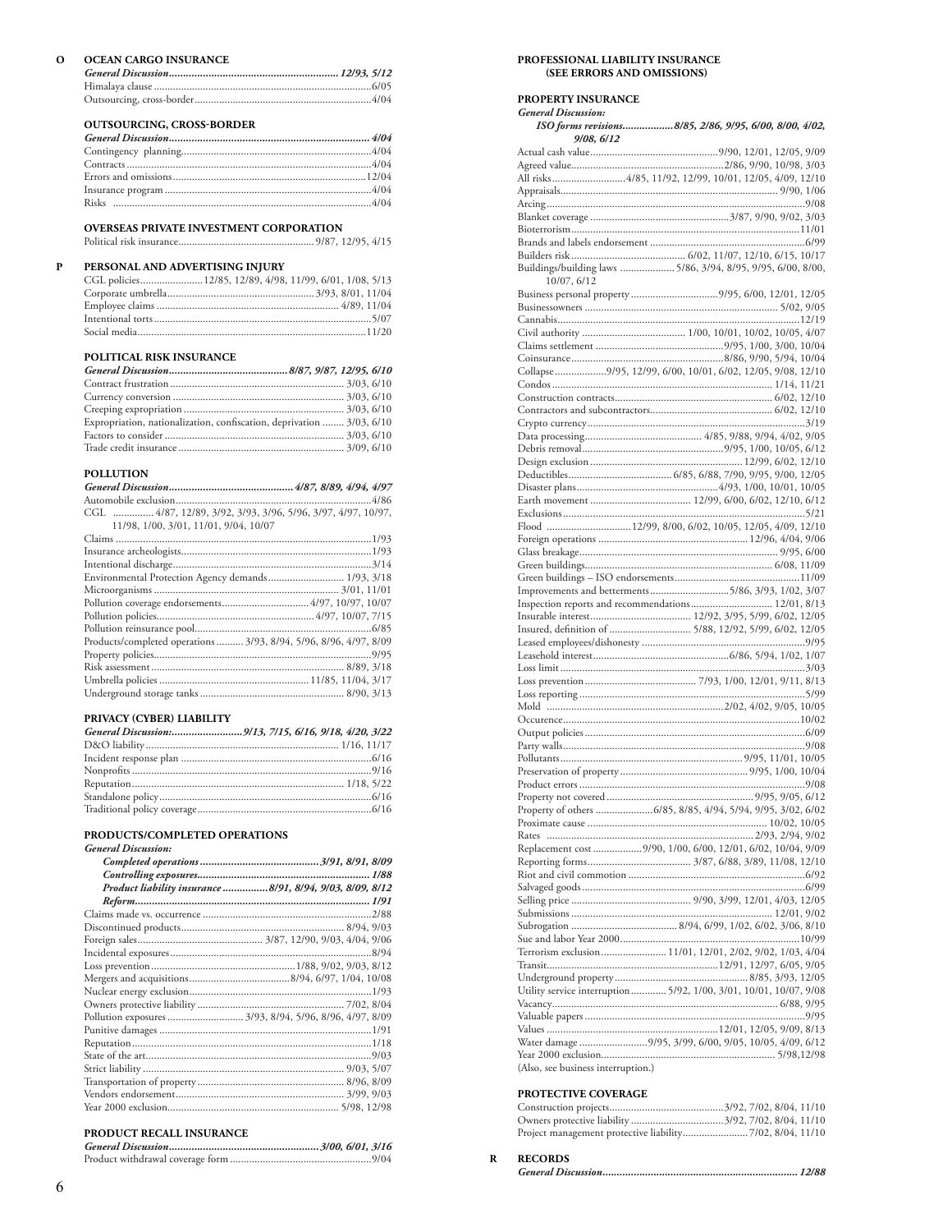| റ | <b>OCEAN CARGO INSURANCE</b>     |  |
|---|----------------------------------|--|
|   |                                  |  |
|   |                                  |  |
|   |                                  |  |
|   |                                  |  |
|   | <b>OUTSOURCING, CROSS-BORDER</b> |  |
|   |                                  |  |
|   |                                  |  |
|   |                                  |  |
|   |                                  |  |

### **OVERSEAS PRIVATE INVESTMENT CORPORATION**

Political risk insurance.................................................. 9/87, 12/95, 4/15

Risks ...............................................................................................4/04

### **P PERSONAL AND ADVERTISING INJURY**

| CGL policies12/85, 12/89, 4/98, 11/99, 6/01, 1/08, 5/13 |
|---------------------------------------------------------|
|                                                         |
|                                                         |
|                                                         |
|                                                         |

### **POLITICAL RISK INSURANCE**

| Expropriation, nationalization, confiscation, deprivation  3/03, 6/10 |  |
|-----------------------------------------------------------------------|--|
|                                                                       |  |
|                                                                       |  |

## **POLLUTION**

| CGL  4/87, 12/89, 3/92, 3/93, 3/96, 5/96, 3/97, 4/97, 10/97, |
|--------------------------------------------------------------|
|                                                              |
|                                                              |
|                                                              |
|                                                              |
| Environmental Protection Agency demands 1/93, 3/18           |
|                                                              |

| Products/completed operations  3/93, 8/94, 5/96, 8/96, 4/97, 8/09 |  |
|-------------------------------------------------------------------|--|
|                                                                   |  |
|                                                                   |  |
|                                                                   |  |
|                                                                   |  |
|                                                                   |  |

### **PRIVACY (CYBER) LIABILITY**

### **PRODUCTS/COMPLETED OPERATIONS**

| Product liability insurance 8/91, 8/94, 9/03, 8/09, 8/12 |
|----------------------------------------------------------|
|                                                          |
|                                                          |
|                                                          |
|                                                          |
|                                                          |
|                                                          |
|                                                          |
|                                                          |
|                                                          |
| Pollution exposures  3/93, 8/94, 5/96, 8/96, 4/97, 8/09  |
|                                                          |
|                                                          |
|                                                          |
|                                                          |
|                                                          |
|                                                          |
|                                                          |
|                                                          |

### **PRODUCT RECALL INSURANCE**

#### **PROPERTY INSURANCE**

*General Discussion:*

| 9/08, 6/12                                                         |
|--------------------------------------------------------------------|
|                                                                    |
| All risks4/85, 11/92, 12/99, 10/01, 12/05, 4/09, 12/10             |
|                                                                    |
|                                                                    |
|                                                                    |
|                                                                    |
|                                                                    |
|                                                                    |
| Buildings/building laws  5/86, 3/94, 8/95, 9/95, 6/00, 8/00,       |
| 10/07, 6/12<br>Business personal property 9/95, 6/00, 12/01, 12/05 |
|                                                                    |
|                                                                    |
|                                                                    |
|                                                                    |
|                                                                    |
| Collapse 9/95, 12/99, 6/00, 10/01, 6/02, 12/05, 9/08, 12/10        |
|                                                                    |
|                                                                    |
|                                                                    |
|                                                                    |
|                                                                    |
|                                                                    |
|                                                                    |
|                                                                    |
|                                                                    |
| Flood 12/99, 8/00, 6/02, 10/05, 12/05, 4/09, 12/10                 |
|                                                                    |
|                                                                    |
|                                                                    |
| Improvements and betterments5/86, 3/93, 1/02, 3/07                 |
| Inspection reports and recommendations 12/01, 8/13                 |
|                                                                    |
| Insured, definition of  5/88, 12/92, 5/99, 6/02, 12/05             |
|                                                                    |
|                                                                    |
|                                                                    |
|                                                                    |
|                                                                    |
|                                                                    |
|                                                                    |
|                                                                    |
|                                                                    |
|                                                                    |
|                                                                    |
|                                                                    |
|                                                                    |
|                                                                    |
|                                                                    |
| Replacement cost 9/90, 1/00, 6/00, 12/01, 6/02, 10/04, 9/09        |
|                                                                    |
|                                                                    |
|                                                                    |
|                                                                    |
|                                                                    |
|                                                                    |
| Terrorism exclusion  11/01, 12/01, 2/02, 9/02, 1/03, 4/04          |
|                                                                    |
| Utility service interruption  5/92, 1/00, 3/01, 10/01, 10/07, 9/08 |
|                                                                    |
|                                                                    |
|                                                                    |
| Water damage 9/95, 3/99, 6/00, 9/05, 10/05, 4/09, 6/12             |

### **PROTECTIVE COVERAGE**

| Project management protective liability7/02, 8/04, 11/10 |  |
|----------------------------------------------------------|--|

### **R RECORDS**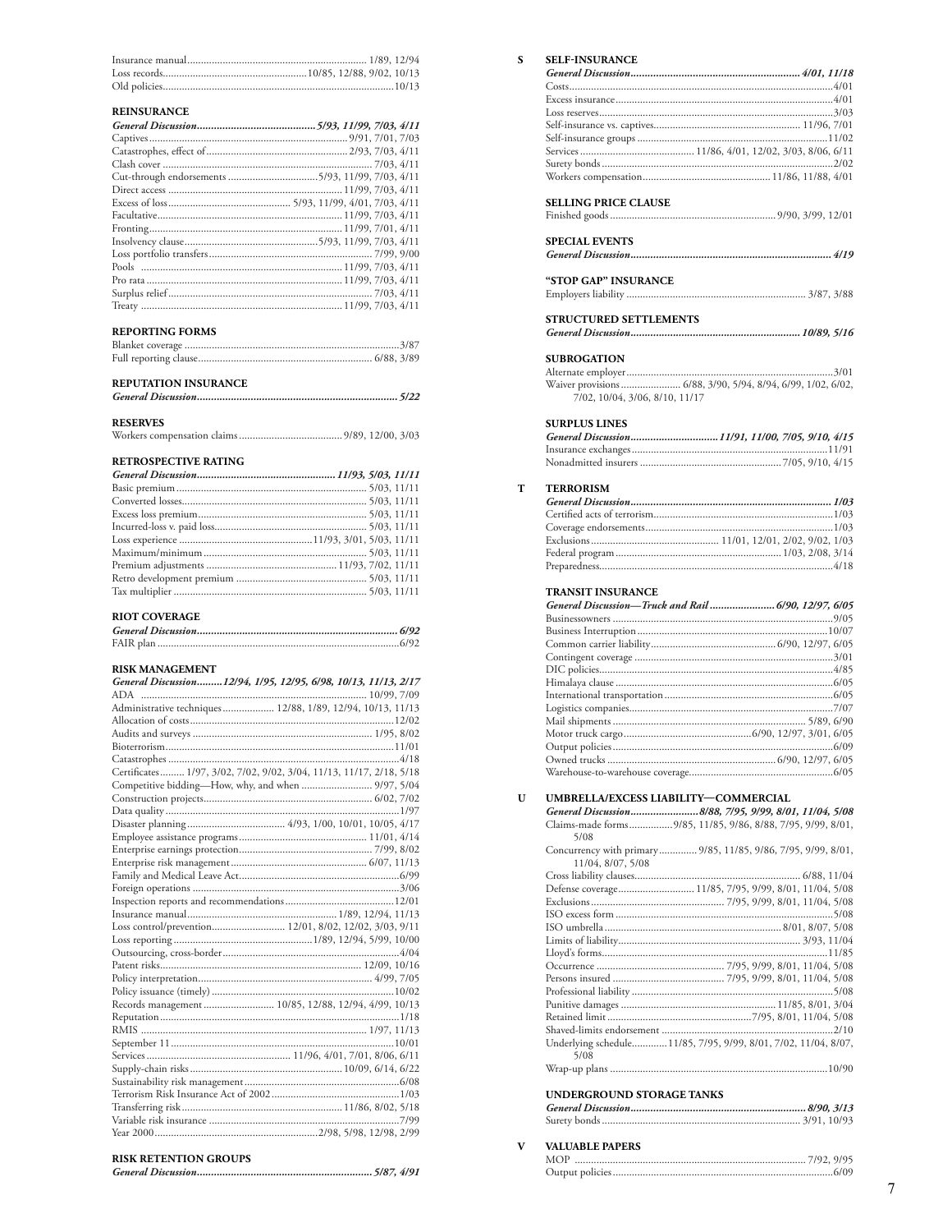### **REINSURANCE**

| <b>NELIVOU NAIVUE</b> |  |
|-----------------------|--|
|                       |  |
|                       |  |
|                       |  |
|                       |  |
|                       |  |
|                       |  |
|                       |  |
|                       |  |
|                       |  |
|                       |  |
|                       |  |
|                       |  |
|                       |  |
|                       |  |
|                       |  |
|                       |  |

#### **REPORTING FORMS**

### REPUTATION INSURANCE

#### **RESERVES**

### RETROSPECTIVE RATING

### RIOT COVERAGE

### RISK MANAGEMENT

| General Discussion12/94, 1/95, 12/95, 6/98, 10/13, 11/13, 2/17      |  |
|---------------------------------------------------------------------|--|
|                                                                     |  |
| Administrative techniques 12/88, 1/89, 12/94, 10/13, 11/13          |  |
|                                                                     |  |
|                                                                     |  |
|                                                                     |  |
|                                                                     |  |
| Certificates 1/97, 3/02, 7/02, 9/02, 3/04, 11/13, 11/17, 2/18, 5/18 |  |
| Competitive bidding—How, why, and when  9/97, 5/04                  |  |
|                                                                     |  |
|                                                                     |  |
|                                                                     |  |
|                                                                     |  |
|                                                                     |  |
|                                                                     |  |
|                                                                     |  |
|                                                                     |  |
|                                                                     |  |
|                                                                     |  |
|                                                                     |  |
|                                                                     |  |
|                                                                     |  |
|                                                                     |  |
|                                                                     |  |
|                                                                     |  |
| Records management  10/85, 12/88, 12/94, 4/99, 10/13                |  |
|                                                                     |  |
|                                                                     |  |
|                                                                     |  |
|                                                                     |  |
|                                                                     |  |
|                                                                     |  |
|                                                                     |  |
|                                                                     |  |
|                                                                     |  |
|                                                                     |  |
|                                                                     |  |
| $\cdots$                                                            |  |

### **RISK RETENTION GROUPS**

| <b>SELF-INSURANCE</b>                                        |  |
|--------------------------------------------------------------|--|
|                                                              |  |
|                                                              |  |
|                                                              |  |
|                                                              |  |
|                                                              |  |
|                                                              |  |
|                                                              |  |
|                                                              |  |
|                                                              |  |
|                                                              |  |
| <b>SELLING PRICE CLAUSE</b>                                  |  |
|                                                              |  |
| <b>SPECIAL EVENTS</b>                                        |  |
|                                                              |  |
|                                                              |  |
| <b>"STOP GAP" INSURANCE</b>                                  |  |
|                                                              |  |
|                                                              |  |
| STRUCTURED SETTLEMENTS                                       |  |
|                                                              |  |
|                                                              |  |
| <b>SUBROGATION</b>                                           |  |
|                                                              |  |
| Waiver provisions  6/88, 3/90, 5/94, 8/94, 6/99, 1/02, 6/02, |  |
| 7/02, 10/04, 3/06, 8/10, 11/17                               |  |
|                                                              |  |
| <b>SURPLUS LINES</b>                                         |  |
| General Discussion11/91, 11/00, 7/05, 9/10, 4/15             |  |
|                                                              |  |
|                                                              |  |
|                                                              |  |
| <b>TERRORISM</b>                                             |  |
|                                                              |  |
|                                                              |  |
|                                                              |  |
|                                                              |  |
|                                                              |  |
|                                                              |  |
| <b>TRANSIT INSURANCE</b>                                     |  |
| General Discussion-Truck and Rail  6/90, 12/97, 6/05         |  |
|                                                              |  |
|                                                              |  |
|                                                              |  |
|                                                              |  |
|                                                              |  |
|                                                              |  |
|                                                              |  |
|                                                              |  |
|                                                              |  |
|                                                              |  |
|                                                              |  |
|                                                              |  |

 ${\bf S}$ 

 $\mathbf T$ 

#### $\mathbf{U}$

UMBRELLA/EXCESS LIABILITY-COMMERCIAL General Discussion.........................8/88, 7/95, 9/99, 8/01, 11/04, 5/08 Claims-made forms.................9/85, 11/85, 9/86, 8/88, 7/95, 9/99, 8/01,  $5/08$ Concurrency with primary .............. 9/85, 11/85, 9/86, 7/95, 9/99, 8/01, Underlying schedule............. 11/85, 7/95, 9/99, 8/01, 7/02, 11/04, 8/07,  $5/08$ 

### **UNDERGROUND STORAGE TANKS**

#### **VALUABLE PAPERS**  $\mathbf{V}$

| <b>MOP</b> |  |
|------------|--|
|            |  |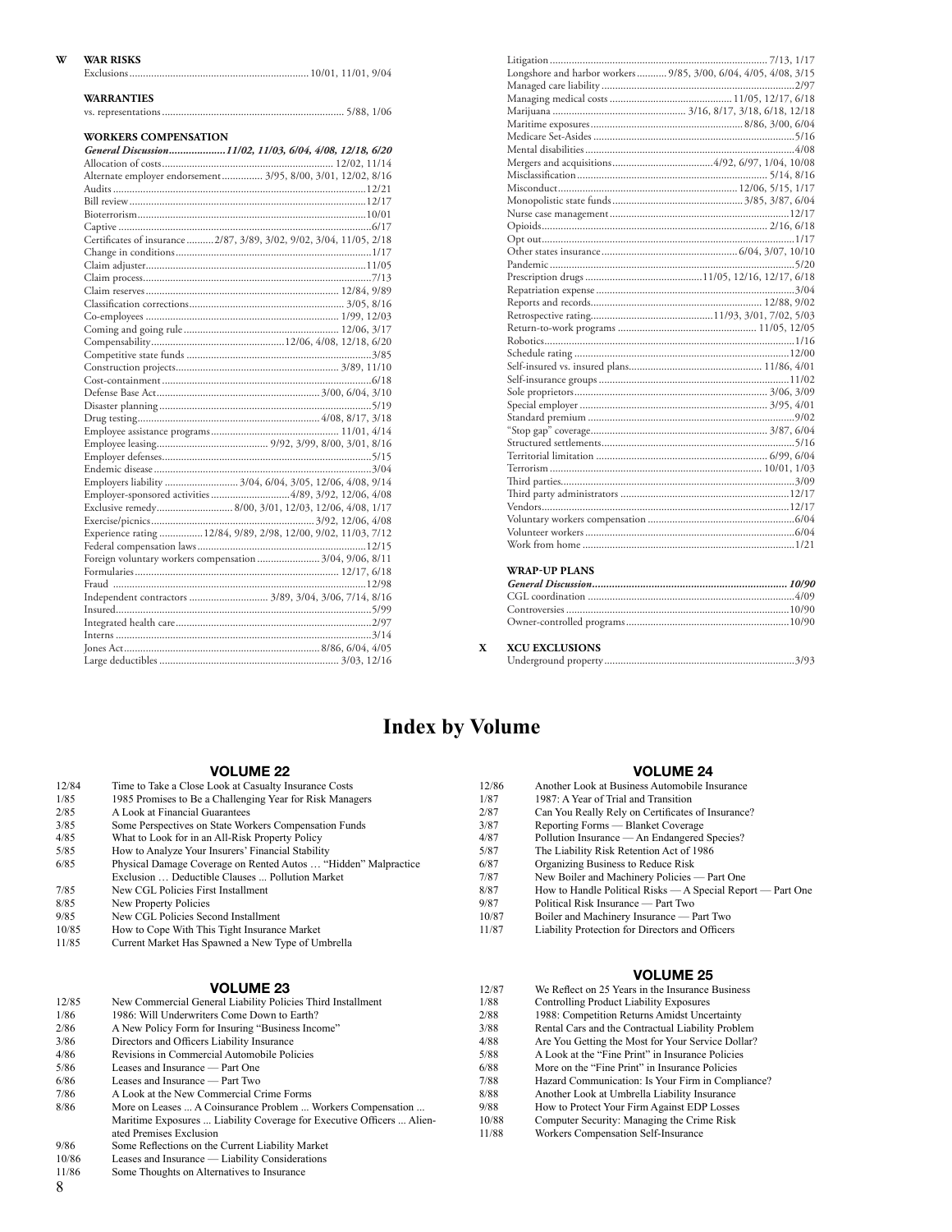### **W WAR RISKS**

| <b>WARRANTIES</b>                                                    |  |
|----------------------------------------------------------------------|--|
|                                                                      |  |
|                                                                      |  |
| <b>WORKERS COMPENSATION</b>                                          |  |
| General Discussion11/02, 11/03, 6/04, 4/08, 12/18, 6/20              |  |
|                                                                      |  |
| Alternate employer endorsement  3/95, 8/00, 3/01, 12/02, 8/16        |  |
|                                                                      |  |
|                                                                      |  |
|                                                                      |  |
|                                                                      |  |
| Certificates of insurance  2/87, 3/89, 3/02, 9/02, 3/04, 11/05, 2/18 |  |
|                                                                      |  |
|                                                                      |  |
|                                                                      |  |
|                                                                      |  |
|                                                                      |  |
|                                                                      |  |
|                                                                      |  |
|                                                                      |  |
|                                                                      |  |
|                                                                      |  |
|                                                                      |  |
|                                                                      |  |
|                                                                      |  |
|                                                                      |  |
|                                                                      |  |
|                                                                      |  |
|                                                                      |  |
|                                                                      |  |
| Employers liability  3/04, 6/04, 3/05, 12/06, 4/08, 9/14             |  |
| Employer-sponsored activities 4/89, 3/92, 12/06, 4/08                |  |
| Exclusive remedy 8/00, 3/01, 12/03, 12/06, 4/08, 1/17                |  |
|                                                                      |  |
| Experience rating  12/84, 9/89, 2/98, 12/00, 9/02, 11/03, 7/12       |  |
|                                                                      |  |
| Foreign voluntary workers compensation  3/04, 9/06, 8/11             |  |
|                                                                      |  |
|                                                                      |  |
|                                                                      |  |
|                                                                      |  |
|                                                                      |  |
|                                                                      |  |
|                                                                      |  |
|                                                                      |  |

| Longshore and harbor workers 9/85, 3/00, 6/04, 4/05, 4/08, 3/15 |
|-----------------------------------------------------------------|
|                                                                 |
|                                                                 |
|                                                                 |
|                                                                 |
|                                                                 |
|                                                                 |
|                                                                 |
|                                                                 |
|                                                                 |
|                                                                 |
|                                                                 |
|                                                                 |
|                                                                 |
|                                                                 |
|                                                                 |
|                                                                 |
|                                                                 |
|                                                                 |
|                                                                 |
|                                                                 |
|                                                                 |
|                                                                 |
|                                                                 |
|                                                                 |
|                                                                 |
|                                                                 |
|                                                                 |
|                                                                 |
|                                                                 |
|                                                                 |
|                                                                 |
|                                                                 |
|                                                                 |
|                                                                 |
|                                                                 |
|                                                                 |
|                                                                 |
|                                                                 |
|                                                                 |
| <b>WRAP-UP PLANS</b>                                            |

**X XCU EXCLUSIONS**

Underground property......................................................................3/93

## **Index by Volume**

### **VOLUME 22**

|       | <b>VOLUME 22</b>                                               |       | <b>VOLUME 24</b>                                            |
|-------|----------------------------------------------------------------|-------|-------------------------------------------------------------|
| 12/84 | Time to Take a Close Look at Casualty Insurance Costs          | 12/86 | Another Look at Business Automobile Insurance               |
| 1/85  | 1985 Promises to Be a Challenging Year for Risk Managers       | 1/87  | 1987: A Year of Trial and Transition                        |
| 2/85  | A Look at Financial Guarantees                                 | 2/87  | Can You Really Rely on Certificates of Insurance?           |
| 3/85  | Some Perspectives on State Workers Compensation Funds          | 3/87  | Reporting Forms — Blanket Coverage                          |
| 4/85  | What to Look for in an All-Risk Property Policy                | 4/87  | Pollution Insurance — An Endangered Species?                |
| 5/85  | How to Analyze Your Insurers' Financial Stability              | 5/87  | The Liability Risk Retention Act of 1986                    |
| 6/85  | Physical Damage Coverage on Rented Autos  "Hidden" Malpractice | 6/87  | Organizing Business to Reduce Risk                          |
|       | Exclusion  Deductible Clauses  Pollution Market                | 7/87  | New Boiler and Machinery Policies — Part One                |
| 7/85  | New CGL Policies First Installment                             | 8/87  | How to Handle Political Risks — A Special Report — Part One |
| 8/85  | New Property Policies                                          | 9/87  | Political Risk Insurance — Part Two                         |
| 9/85  | New CGL Policies Second Installment                            | 10/87 | Boiler and Machinery Insurance — Part Two                   |
| 10/85 | How to Cope With This Tight Insurance Market                   | 11/87 | Liability Protection for Directors and Officers             |
| 11/85 | Current Market Has Spawned a New Type of Umbrella              |       |                                                             |

### **VOLUME 25** We Reflect on 25 Years in the Insurance Business

Are You Getting the Most for Your Service Dollar? 5/88 A Look at the "Fine Print" in Insurance Policies More on the "Fine Print" in Insurance Policies Hazard Communication: Is Your Firm in Compliance? Another Look at Umbrella Liability Insurance How to Protect Your Firm Against EDP Losses Computer Security: Managing the Crime Risk Workers Compensation Self-Insurance

|       |                                                                       |       | <b>VULUME 23</b>                                  |
|-------|-----------------------------------------------------------------------|-------|---------------------------------------------------|
|       | <b>VOLUME 23</b>                                                      | 12/87 | We Reflect on 25 Years in the Insurance Business  |
| 12/85 | New Commercial General Liability Policies Third Installment           | 1/88  | Controlling Product Liability Exposures           |
| 1/86  | 1986: Will Underwriters Come Down to Earth?                           | 2/88  | 1988: Competition Returns Amidst Uncertainty      |
| 2/86  | A New Policy Form for Insuring "Business Income"                      | 3/88  | Rental Cars and the Contractual Liability Problem |
| 3/86  | Directors and Officers Liability Insurance                            | 4/88  | Are You Getting the Most for Your Service Dollar  |
| 4/86  | Revisions in Commercial Automobile Policies                           | 5/88  | A Look at the "Fine Print" in Insurance Policies  |
| 5/86  | Leases and Insurance — Part One                                       | 6/88  | More on the "Fine Print" in Insurance Policies    |
| 6/86  | Leases and Insurance — Part Two                                       | 7/88  | Hazard Communication: Is Your Firm in Complian    |
| 7/86  | A Look at the New Commercial Crime Forms                              | 8/88  | Another Look at Umbrella Liability Insurance      |
| 8/86  | More on Leases  A Coinsurance Problem  Workers Compensation           | 9/88  | How to Protect Your Firm Against EDP Losses       |
|       | Maritime Exposures  Liability Coverage for Executive Officers  Alien- | 10/88 | Computer Security: Managing the Crime Risk        |
|       | ated Premises Exclusion                                               | 11/88 | Workers Compensation Self-Insurance               |
| 9/86  | Some Reflections on the Current Liability Market                      |       |                                                   |

- 
- 10/86 Leases and Insurance Liability Considerations
- 11/86 Some Thoughts on Alternatives to Insurance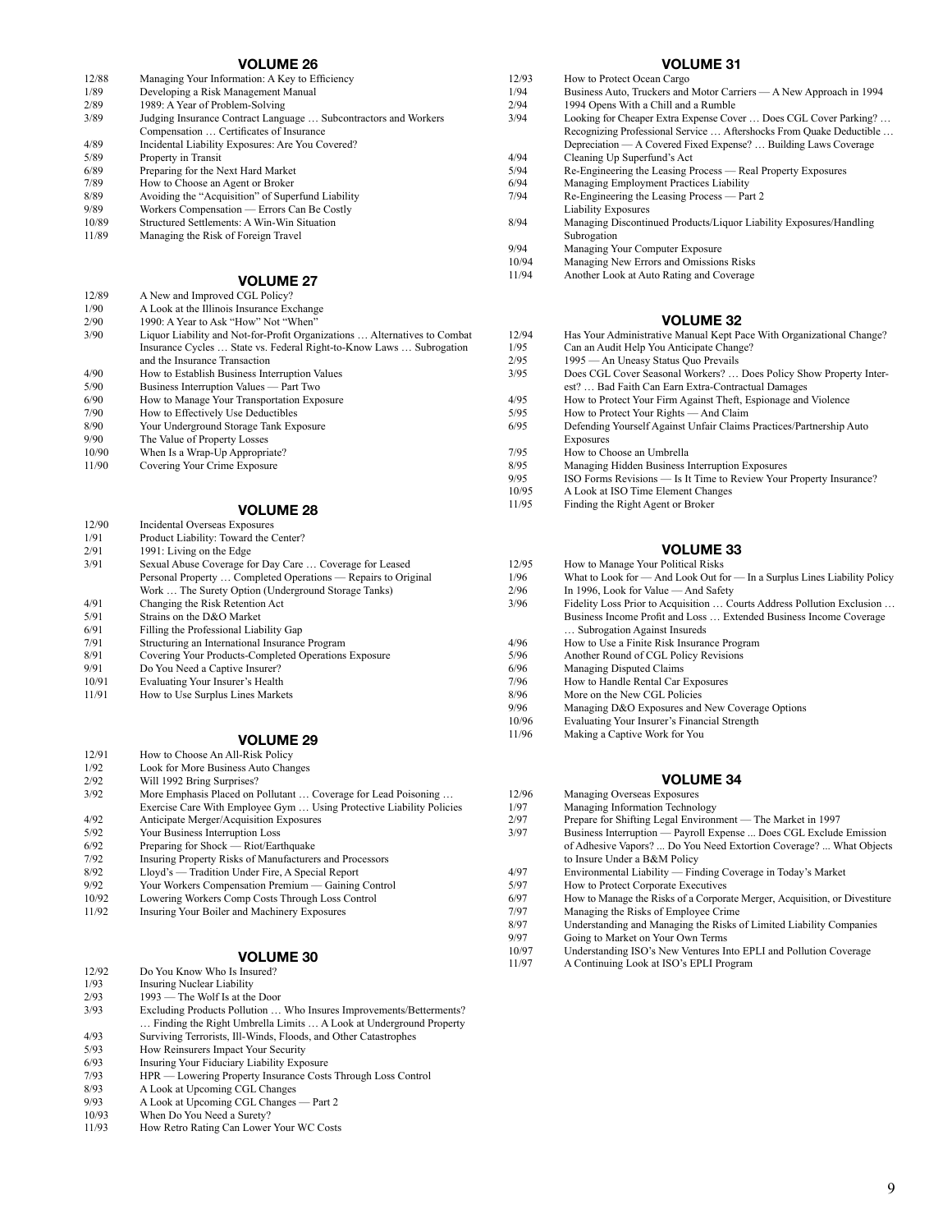| 12/88 | Managing Your Information: A Key to Efficiency                                                             |
|-------|------------------------------------------------------------------------------------------------------------|
| 1/89  | Developing a Risk Management Manual                                                                        |
| 2/89  | 1989: A Year of Problem-Solving                                                                            |
| 3/89  | Judging Insurance Contract Language  Subcontractors and Workers<br>Compensation  Certificates of Insurance |
| 4/89  | Incidental Liability Exposures: Are You Covered?                                                           |
|       |                                                                                                            |
| 5/89  | Property in Transit                                                                                        |
| 6/89  | Preparing for the Next Hard Market                                                                         |
| 7/89  | How to Choose an Agent or Broker                                                                           |
| 8/89  | Avoiding the "Acquisition" of Superfund Liability                                                          |
| 9/89  | Workers Compensation — Errors Can Be Costly                                                                |
| 10/89 | <b>Structured Settlements: A Win-Win Situation</b>                                                         |
| 11/89 | Managing the Risk of Foreign Travel                                                                        |
|       |                                                                                                            |

### **VOLUME 27**

| 12/89 | A New and Improved CGL Policy?                                            |
|-------|---------------------------------------------------------------------------|
| 1/90  | A Look at the Illinois Insurance Exchange                                 |
| 2/90  | 1990: A Year to Ask "How" Not "When"                                      |
| 3/90  | Liquor Liability and Not-for-Profit Organizations  Alternatives to Combat |
|       | Insurance Cycles  State vs. Federal Right-to-Know Laws  Subrogation       |
|       | and the Insurance Transaction                                             |
| 4/90  | How to Establish Business Interruption Values                             |
| 5/90  | Business Interruption Values — Part Two                                   |
| 6/90  | How to Manage Your Transportation Exposure                                |
| 7/90  | How to Effectively Use Deductibles                                        |
| 8/90  | Your Underground Storage Tank Exposure                                    |
| 9/90  | The Value of Property Losses                                              |
| 10/90 | When Is a Wrap-Up Appropriate?                                            |
| 11/90 | Covering Your Crime Exposure                                              |
|       |                                                                           |
|       |                                                                           |

### **VOLUME 28**

| 12/90 | Incidental Overseas Exposures                                 |
|-------|---------------------------------------------------------------|
| 1/91  | Product Liability: Toward the Center?                         |
| 2/91  | 1991: Living on the Edge                                      |
| 3/91  | Sexual Abuse Coverage for Day Care  Coverage for Leased       |
|       | Personal Property  Completed Operations — Repairs to Original |
|       | Work  The Surety Option (Underground Storage Tanks)           |
| 4/91  | Changing the Risk Retention Act                               |
| 5/91  | Strains on the D&O Market                                     |
| 6/91  | Filling the Professional Liability Gap                        |
| 7/91  | Structuring an International Insurance Program                |
| 8/91  | Covering Your Products-Completed Operations Exposure          |
| 9/91  | Do You Need a Captive Insurer?                                |
| 10/91 | Evaluating Your Insurer's Health                              |
| 11/91 | How to Use Surplus Lines Markets                              |
|       |                                                               |

### **VOLUME 29**

- 12/91 How to Choose An All-Risk Policy<br>1/92 Look for More Business Auto Char
- 1/92 Look for More Business Auto Changes<br>2/92 Will 1992 Bring Surprises?
- 2/92 Will 1992 Bring Surprises?<br>3/92 More Emphasis Placed on 1 More Emphasis Placed on Pollutant ... Coverage for Lead Poisoning ... Exercise Care With Employee Gym … Using Protective Liability Policies
- 4/92 Anticipate Merger/Acquisition Exposures<br>5/92 Your Business Interruption Loss
- 5/92 Your Business Interruption Loss<br>6/92 Preparing for Shock Riot/Earl
- $6/92$  Preparing for Shock Riot/Earthquake<br> $7/92$  Insuring Property Risks of Manufacturer 7/92 Insuring Property Risks of Manufacturers and Processors<br>8/92 I.lovd's — Tradition Under Fire A Special Report
- Lloyd's Tradition Under Fire, A Special Report
- 
- 9/92 Your Workers Compensation Premium Gaining Control
- 10/92 Lowering Workers Comp Costs Through Loss Control Insuring Your Boiler and Machinery Exposures

### **VOLUME 30**

- 12/92 Do You Know Who Is Insured?
- 1/93 Insuring Nuclear Liability<br>2/93 1993 The Wolf Is at the
- 2/93 1993 The Wolf Is at the Door<br>3/93 Excluding Products Pollution ...
- Excluding Products Pollution ... Who Insures Improvements/Betterments? … Finding the Right Umbrella Limits … A Look at Underground Property
- 4/93 Surviving Terrorists, Ill-Winds, Floods, and Other Catastrophes
- 5/93 How Reinsurers Impact Your Security<br>6/93 Insuring Your Fiduciary Liability Expo
- 6/93 Insuring Your Fiduciary Liability Exposure<br>7/93 HPR Lowering Property Insurance Costs
- 7/93 HPR Lowering Property Insurance Costs Through Loss Control
- 8/93 A Look at Upcoming CGL Changes<br>9/93 A Look at Uncoming CGL Changes
- A Look at Upcoming CGL Changes Part 2
- 10/93 When Do You Need a Surety?<br>11/93 How Retro Rating Can Lower How Retro Rating Can Lower Your WC Costs

### **VOLUME 31**

- 12/93 How to Protect Ocean Cargo<br>1/94 Business Auto Truckers and
- 1/94 Business Auto, Truckers and Motor Carriers A New Approach in 1994<br>2/94 1994 Opens With a Chill and a Rumble
- 2/94 1994 Opens With a Chill and a Rumble<br>3/94 I ooking for Cheaper Extra Expense Cov
	- Looking for Cheaper Extra Expense Cover ... Does CGL Cover Parking? ... Recognizing Professional Service … Aftershocks From Quake Deductible … Depreciation — A Covered Fixed Expense? … Building Laws Coverage
- 4/94 Cleaning Up Superfund's Act<br>5/94 Re-Engineering the Leasing P
- Re-Engineering the Leasing Process Real Property Exposures
- 6/94 Managing Employment Practices Liability<br>7/94 Re-Engineering the Leasing Process Par Re-Engineering the Leasing Process — Part 2
- Liability Exposures
- 8/94 Managing Discontinued Products/Liquor Liability Exposures/Handling Subrogation
- 9/94 Managing Your Computer Exposure
- 
- 10/94 Managing New Errors and Omissions Risks<br>11/94 Another Look at Auto Rating and Coverage Another Look at Auto Rating and Coverage

### **VOLUME 32**

- 12/94 Has Your Administrative Manual Kept Pace With Organizational Change?<br>1/95 Can an Audit Help You Anticipate Change? 1/95 Can an Audit Help You Anticipate Change?<br>2/95 1995 - An Uneasy Status Ouo Prevails 2/95 1995 — An Uneasy Status Quo Prevails<br>3/95 Does CGL Cover Seasonal Workers? Does CGL Cover Seasonal Workers? ... Does Policy Show Property Interest? … Bad Faith Can Earn Extra-Contractual Damages  $4/95$  How to Protect Your Firm Against Theft, Espionage and Violence  $5/95$  How to Protect Your Rights — And Claim 5/95 How to Protect Your Rights — And Claim<br>6/95 Defending Yourself Against Unfair Claims 6/95 Defending Yourself Against Unfair Claims Practices/Partnership Auto Exposures 7/95 How to Choose an Umbrella<br>8/95 Managing Hidden Business I 8/95 Managing Hidden Business Interruption Exposures<br>9/95 ISO Forms Revisions — Is It Time to Review Your 9/95 ISO Forms Revisions — Is It Time to Review Your Property Insurance?<br>10/95 A Look at ISO Time Element Changes 10/95 A Look at ISO Time Element Changes<br>11/95 Finding the Right Agent or Broker
- Finding the Right Agent or Broker

### **VOLUME 33**

- 12/95 How to Manage Your Political Risks
- 1/96 What to Look for And Look Out for In a Surplus Lines Liability Policy<br>2/96 In 1996 Look for Value And Safety
	-
- 2/96 In 1996, Look for Value And Safety<br>3/96 Fidelity Loss Prior to Acquisition ... Co Fidelity Loss Prior to Acquisition ... Courts Address Pollution Exclusion ... Business Income Profit and Loss … Extended Business Income Coverage … Subrogation Against Insureds
- 
- 4/96 How to Use a Finite Risk Insurance Program<br>5/96 Another Round of CGI, Policy Revisions
- 5/96 Another Round of CGL Policy Revisions<br>6/96 Managing Disputed Claims
- 6/96 Managing Disputed Claims<br>7/96 How to Handle Rental Car I
- 7/96 How to Handle Rental Car Exposures<br>8/96 More on the New CGL Policies
- 8/96 More on the New CGL Policies<br>9/96 Managing D&O Exposures and 9/96 Managing D&O Exposures and New Coverage Options<br>10/96 Evaluating Your Insurer's Einancial Strength
- 
- 10/96 Evaluating Your Insurer's Financial Strength Making a Captive Work for You

- 12/96 Managing Overseas Exposures
- 1/97 Managing Information Technology<br>2/97 Prenare for Shifting Legal Environi
- 2/97 Prepare for Shifting Legal Environment The Market in 1997<br>3/97 Business Interruption Pavroll Expense Does CGL Exclude
- Business Interruption Payroll Expense ... Does CGL Exclude Emission of Adhesive Vapors? ... Do You Need Extortion Coverage? ... What Objects to Insure Under a B&M Policy
- 4/97 Environmental Liability Finding Coverage in Today's Market<br>5/97 How to Protect Cornorate Executives
- 
- 5/97 How to Protect Corporate Executives<br>6/97 How to Manage the Risks of a Corporation 6/97 How to Manage the Risks of a Corporate Merger, Acquisition, or Divestiture
- 7/97 Managing the Risks of Employee Crime<br>8/97 Understanding and Managing the Risks
- 8/97 Understanding and Managing the Risks of Limited Liability Companies<br>9/97 Going to Market on Your Own Terms
- 9/97 Going to Market on Your Own Terms<br>10/97 Understanding ISO's New Ventures In
- 10/97 Understanding ISO's New Ventures Into EPLI and Pollution Coverage<br>11/97 A Continuing Look at ISO's EPLI Program
- A Continuing Look at ISO's EPLI Program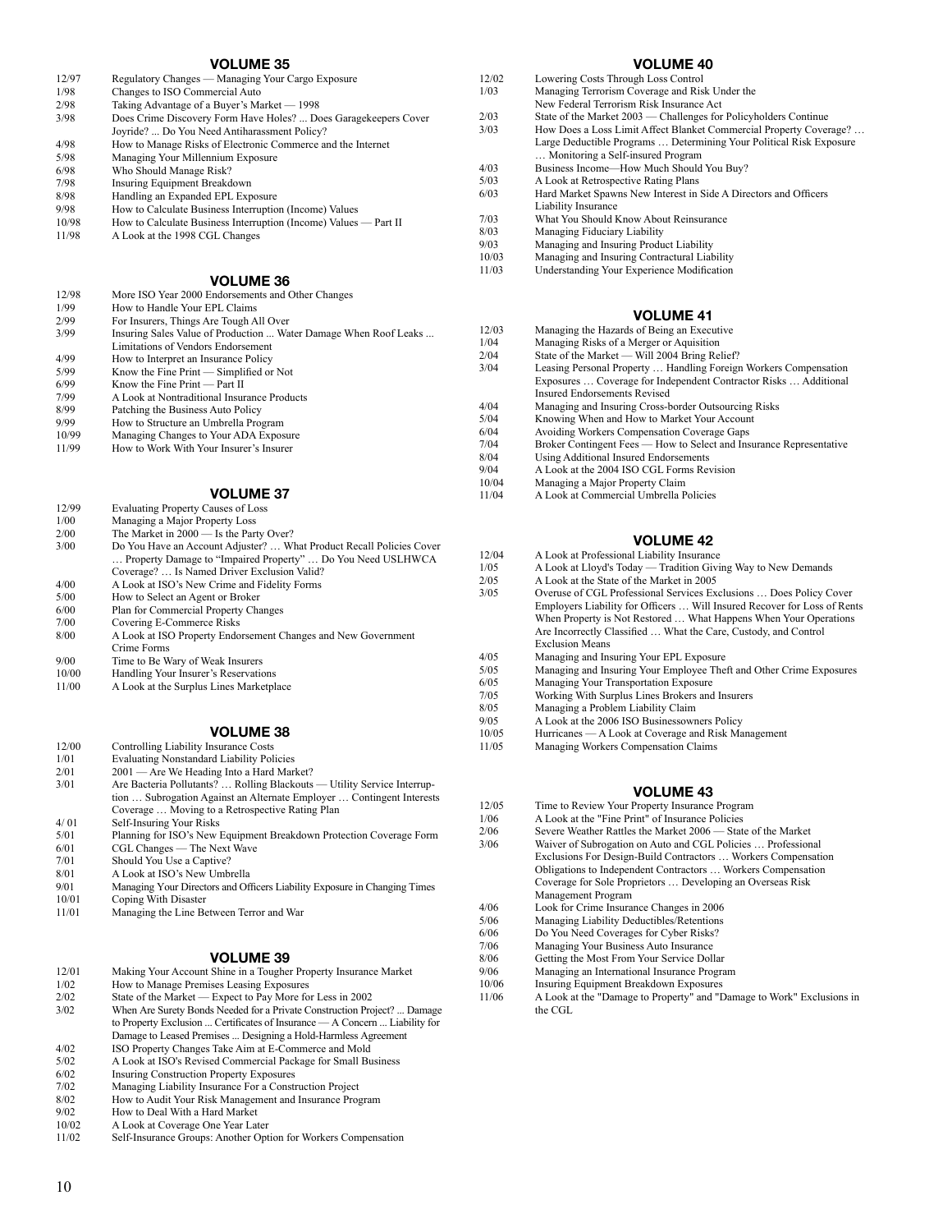| 12/97 | Regulatory Changes — Managing Your Cargo Exposure                |   |
|-------|------------------------------------------------------------------|---|
| 1/98  | Changes to ISO Commercial Auto                                   |   |
| 2/98  | Taking Advantage of a Buyer's Market — 1998                      |   |
| 3/98  | Does Crime Discovery Form Have Holes?  Does Garagekeepers Cover  | 2 |
|       | Joyride?  Do You Need Antiharassment Policy?                     | 3 |
| 4/98  | How to Manage Risks of Electronic Commerce and the Internet      |   |
| 5/98  | Managing Your Millennium Exposure                                |   |
| 6/98  | Who Should Manage Risk?                                          |   |
| 7/98  | Insuring Equipment Breakdown                                     |   |
| 8/98  | Handling an Expanded EPL Exposure                                | 6 |
| 9/98  | How to Calculate Business Interruption (Income) Values           |   |
| 10/98 | How to Calculate Business Interruption (Income) Values — Part II | 7 |
| 11/98 | A Look at the 1998 CGL Changes                                   | ξ |
|       |                                                                  | ç |
|       |                                                                  |   |

### **VOLUME 36**

| 12/98 | More ISO Year 2000 Endorsements and Other Changes                |
|-------|------------------------------------------------------------------|
| 1/99  | How to Handle Your EPL Claims                                    |
| 2/99  | For Insurers, Things Are Tough All Over                          |
| 3/99  | Insuring Sales Value of Production  Water Damage When Roof Leaks |
|       | Limitations of Vendors Endorsement                               |
| 4/99  | How to Interpret an Insurance Policy                             |
| 5/99  | Know the Fine Print — Simplified or Not                          |
| 6/99  | Know the Fine Print $-$ Part II                                  |
| 7/99  | A Look at Nontraditional Insurance Products                      |
| 8/99  | Patching the Business Auto Policy                                |
| 9/99  | How to Structure an Umbrella Program                             |
| 10/99 | Managing Changes to Your ADA Exposure                            |
| 11/99 | How to Work With Your Insurer's Insurer                          |
|       |                                                                  |
|       |                                                                  |
|       | 1701 LBJF 67                                                     |

#### **VOLUME 37**

- 12/99 Evaluating Property Causes of Loss
- 1/00 Managing a Major Property Loss<br>2/00 The Market in 2000 Is the Part
- 2/00 The Market in 2000 Is the Party Over?<br>3/00 Do You Have an Account Adjuster? ... W Do You Have an Account Adjuster? ... What Product Recall Policies Cover … Property Damage to "Impaired Property" … Do You Need USLHWCA Coverage? … Is Named Driver Exclusion Valid? 4/00 A Look at ISO's New Crime and Fidelity Forms<br>5/00 How to Select an Agent or Broker
- 5/00 How to Select an Agent or Broker
- 6/00 Plan for Commercial Property Changes<br>7/00 Covering E-Commerce Risks
- 7/00 Covering E-Commerce Risks<br>8/00 A Look at ISO Property Endo
- A Look at ISO Property Endorsement Changes and New Government Crime Forms
- 9/00 Time to Be Wary of Weak Insurers<br>10/00 Handling Your Insurer's Reservation
- Handling Your Insurer's Reservations
- 11/00 A Look at the Surplus Lines Marketplace

### **VOLUME 38**

- 12/00 Controlling Liability Insurance Costs<br>1/01 Evaluating Nonstandard Liability Pol
- 1/01 Evaluating Nonstandard Liability Policies<br>2/01 2001 Are We Heading Into a Hard Mar
- 2/01 2001 Are We Heading Into a Hard Market?<br>3/01 <br>Are Bacteria Pollutants? ... Rolling Blackouts
- Are Bacteria Pollutants? ... Rolling Blackouts Utility Service Interruption … Subrogation Against an Alternate Employer … Contingent Interests Coverage … Moving to a Retrospective Rating Plan 4/ 01 Self-Insuring Your Risks<br>5/01 Planning for ISO's New 1
- 5/01 Planning for ISO's New Equipment Breakdown Protection Coverage Form<br>6/01 CGL Changes The Next Wave
- $6/01$  CGL Changes The Next Wave  $7/01$  Should You Use a Cantive?
- 7/01 Should You Use a Captive?<br>8/01 A Look at ISO's New Umbi
- 8/01 A Look at ISO's New Umbrella<br>9/01 Managing Your Directors and Of
- 9/01 Managing Your Directors and Officers Liability Exposure in Changing Times 10/01 Coping With Disaster
- 10/01 Coping With Disaster<br>11/01 Managing the Line Be
- Managing the Line Between Terror and War

### **VOLUME 39**

| 12/01 | Making Your Account Shine in a Tougher Property Insurance Market |  |  |  |
|-------|------------------------------------------------------------------|--|--|--|
|       |                                                                  |  |  |  |

- 1/02 How to Manage Premises Leasing Exposures<br>2/02 State of the Market Expect to Pay More for
- 2/02 State of the Market Expect to Pay More for Less in 2002<br>3/02 When Are Surety Bonds Needed for a Private Construction Pro
- When Are Surety Bonds Needed for a Private Construction Project? ... Damage to Property Exclusion ... Certificates of Insurance — A Concern ... Liability for Damage to Leased Premises ... Designing a Hold-Harmless Agreement
- 4/02 ISO Property Changes Take Aim at E-Commerce and Mold
- 5/02 A Look at ISO's Revised Commercial Package for Small Business
- 6/02 Insuring Construction Property Exposures 7/02 Managing Liability Insurance For a Construction Project
- 
- 8/02 How to Audit Your Risk Management and Insurance Program<br>9/02 How to Deal With a Hard Market
- 9/02 How to Deal With a Hard Market<br>10/02 A Look at Coverage One Year Lat
- 10/02 A Look at Coverage One Year Later<br>11/02 Self-Insurance Groups: Another Opt Self-Insurance Groups: Another Option for Workers Compensation

### **VOLUME 40**

| 12/02 | Lowering Costs Through Loss Control                                 |
|-------|---------------------------------------------------------------------|
| 1/03  | Managing Terrorism Coverage and Risk Under the                      |
|       | New Federal Terrorism Risk Insurance Act                            |
| 2/03  | State of the Market 2003 — Challenges for Policyholders Continue    |
| 3/03  | How Does a Loss Limit Affect Blanket Commercial Property Coverage?  |
|       | Large Deductible Programs  Determining Your Political Risk Exposure |
|       | Monitoring a Self-insured Program                                   |
| 4/03  | Business Income—How Much Should You Buy?                            |
| 5/03  | A Look at Retrospective Rating Plans                                |
| 6/03  | Hard Market Spawns New Interest in Side A Directors and Officers    |
|       | Liability Insurance                                                 |
| 7/03  | What You Should Know About Reinsurance                              |
| 8/03  | Managing Fiduciary Liability                                        |
| 9/03  | Managing and Insuring Product Liability                             |
| 10/03 | Managing and Insuring Contractural Liability                        |

11/03 Understanding Your Experience Modification

### **VOLUME 41**

- 12/03 Managing the Hazards of Being an Executive<br>1/04 Managing Risks of a Merger or Aquisition
- Managing Risks of a Merger or Aquisition
- 2/04 State of the Market Will 2004 Bring Relief?
- 3/04 Leasing Personal Property … Handling Foreign Workers Compensation Exposures … Coverage for Independent Contractor Risks … Additional Insured Endorsements Revised
- 4/04 Managing and Insuring Cross-border Outsourcing Risks<br>5/04 Knowing When and How to Market Your Account
- 5/04 Knowing When and How to Market Your Account<br>6/04 Avoiding Workers Compensation Coverage Gaps
- 
- 6/04 Avoiding Workers Compensation Coverage Gaps<br>7/04 Broker Contingent Fees How to Select and Ins 7/04 Broker Contingent Fees — How to Select and Insurance Representative 8/04 Using Additional Insured Endorsements
- 8/04 Using Additional Insured Endorsements<br>9/04 A Look at the 2004 ISO CGL Forms Res
- 9/04 A Look at the 2004 ISO CGL Forms Revision<br>10/04 Managing a Maior Property Claim
- 
- 10/04 Managing a Major Property Claim<br>11/04 A Look at Commercial Umbrella P 11/04 A Look at Commercial Umbrella Policies

### **VOLUME 42**

- 
- 12/04 A Look at Professional Liability Insurance<br>1/05 A Look at Lloyd's Today Tradition Givin 1/05 A Look at Lloyd's Today — Tradition Giving Way to New Demands<br>2/05 A Look at the State of the Market in 2005
	- 2/05 A Look at the State of the Market in 2005
- 3/05 Overuse of CGL Professional Services Exclusions … Does Policy Cover Employers Liability for Officers … Will Insured Recover for Loss of Rents When Property is Not Restored … What Happens When Your Operations Are Incorrectly Classified … What the Care, Custody, and Control Exclusion Means
- 4/05 Managing and Insuring Your EPL Exposure<br>5/05 Managing and Insuring Your Employee The
- 5/05 Managing and Insuring Your Employee Theft and Other Crime Exposures<br>6/05 Managing Your Transportation Exposure
- 6/05 Managing Your Transportation Exposure
- 7/05 Working With Surplus Lines Brokers and Insurers
- 8/05 Managing a Problem Liability Claim<br>9/05 A Look at the 2006 ISO Businessown
- $9/05$  A Look at the 2006 ISO Businessowners Policy<br>10/05 Hurricanes  $\rightarrow$  A Look at Coverage and Risk Ma
- 10/05 Hurricanes A Look at Coverage and Risk Management
	- Managing Workers Compensation Claims

- 12/05 Time to Review Your Property Insurance Program<br>1/06 A Look at the "Fine Print" of Insurance Policies
	- A Look at the "Fine Print" of Insurance Policies
- 2/06 Severe Weather Rattles the Market 2006 State of the Market
- 3/06 Waiver of Subrogation on Auto and CGL Policies … Professional Exclusions For Design-Build Contractors … Workers Compensation Obligations to Independent Contractors … Workers Compensation Coverage for Sole Proprietors … Developing an Overseas Risk Management Program
- 4/06 Look for Crime Insurance Changes in 2006<br>5/06 Managing Liability Deductibles/Retentions
- 
- 5/06 Managing Liability Deductibles/Retentions<br>6/06 Do You Need Coverages for Cyber Risks? 6/06 Do You Need Coverages for Cyber Risks?<br>7/06 Managing Your Business Auto Insurance
- 7/06 Managing Your Business Auto Insurance<br>8/06 Getting the Most From Your Service Doll
- 8/06 Getting the Most From Your Service Dollar<br>9/06 Managing an International Insurance Progra
- 9/06 Managing an International Insurance Program<br>10/06 Insuring Equipment Breakdown Exposures
- 10/06 Insuring Equipment Breakdown Exposures<br>11/06 A Look at the "Damage to Property" and "I
	- A Look at the "Damage to Property" and "Damage to Work" Exclusions in the CGL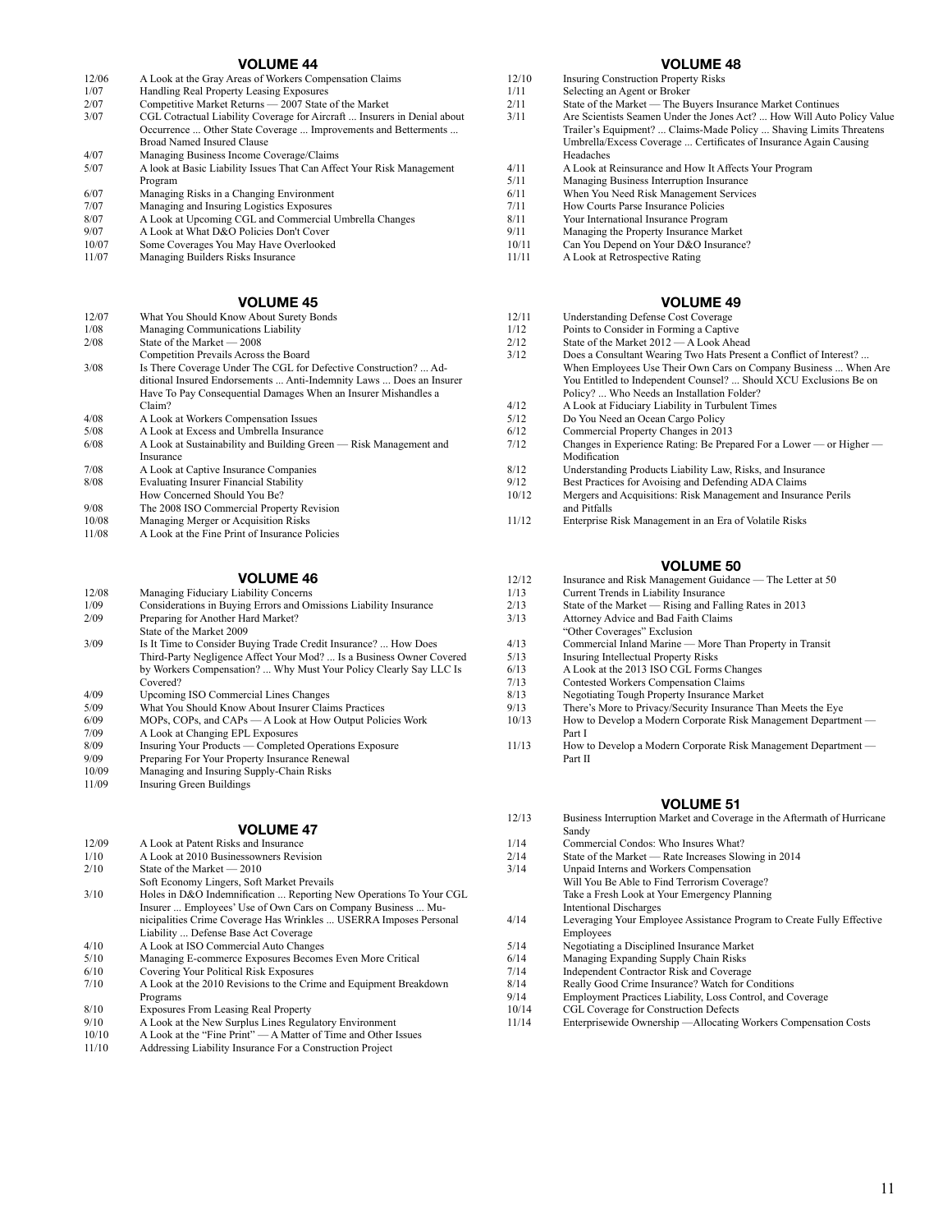- 12/06 A Look at the Gray Areas of Workers Compensation Claims
- 1/07 Handling Real Property Leasing Exposures
- 2/07 Competitive Market Returns 2007 State of the Market 3/07 CGL Cotractual Liability Coverage for Aircraft ... Insurers in Denial about
- Occurrence ... Other State Coverage ... Improvements and Betterments ... Broad Named Insured Clause
- 4/07 Managing Business Income Coverage/Claims<br>5/07 A look at Basic Liability Issues That Can Affe
- 5/07 A look at Basic Liability Issues That Can Affect Your Risk Management Program
- 6/07 Managing Risks in a Changing Environment
- 7/07 Managing and Insuring Logistics Exposures<br>8/07 A Look at Uncoming CGL and Commercial
- 8/07 A Look at Upcoming CGL and Commercial Umbrella Changes<br>9/07 A Look at What D&O Policies Don't Cover
- 9/07 A Look at What D&O Policies Don't Cover<br>10/07 Some Coverages You May Have Overlooke
- Some Coverages You May Have Overlooked 11/07 Managing Builders Risks Insurance

#### **VOLUME 45**

| 12/07 | What You Should Know About Surety Bonds                             |
|-------|---------------------------------------------------------------------|
| 1/08  | Managing Communications Liability                                   |
| 2/08  | State of the Market — 2008                                          |
|       | Competition Prevails Across the Board                               |
| 3/08  | Is There Coverage Under The CGL for Defective Construction?  Ad-    |
|       | ditional Insured Endorsements  Anti-Indemnity Laws  Does an Insurer |
|       | Have To Pay Consequential Damages When an Insurer Mishandles a      |
|       | Claim?                                                              |
| 4/08  | A Look at Workers Compensation Issues                               |
| 5/08  | A Look at Excess and Umbrella Insurance                             |
| 6/08  | A Look at Sustainability and Building Green — Risk Management and   |
|       | Insurance                                                           |
| 7/08  | A Look at Captive Insurance Companies                               |
| 8/08  | <b>Evaluating Insurer Financial Stability</b>                       |
|       | How Concerned Should You Be?                                        |
| 9/08  | The 2008 ISO Commercial Property Revision                           |
| 10/08 | Managing Merger or Acquisition Risks                                |
| 11/08 | A Look at the Fine Print of Insurance Policies                      |

### **VOLUME 46**

- 12/08 Managing Fiduciary Liability Concerns<br>1/09 Considerations in Buying Frrors and On
- 1/09 Considerations in Buying Errors and Omissions Liability Insurance<br>2/09 Prenaring for Another Hard Market? Preparing for Another Hard Market? State of the Market 2009 3/09 Is It Time to Consider Buying Trade Credit Insurance? ... How Does Third-Party Negligence Affect Your Mod? ... Is a Business Owner Covered by Workers Compensation? ... Why Must Your Policy Clearly Say LLC Is Covered? 4/09 Upcoming ISO Commercial Lines Changes<br>5/09 What You Should Know About Insurer Clair
- 5/09 What You Should Know About Insurer Claims Practices<br>6/09 MOPs COPs and CAPs A Look at How Output Polic 6/09 MOPs, COPs, and CAPs — A Look at How Output Policies Work
- 7/09 A Look at Changing EPL Exposures
- 
- 8/09 Insuring Your Products Completed Operations Exposure<br>9/09 Preparing For Your Property Insurance Renewal
- 9/09 Preparing For Your Property Insurance Renewal<br>10/09 Managing and Insuring Sunnly-Chain Risks
- 10/09 Managing and Insuring Supply-Chain Risks<br>11/09 Insuring Green Buildings Insuring Green Buildings

### **VOLUME 47**

- 12/09 A Look at Patent Risks and Insurance<br>1/10 A Look at 2010 Businessowners Revis
- 1/10 A Look at 2010 Businessowners Revision<br>2/10 State of the Market 2010 State of the Market - 2010
- Soft Economy Lingers, Soft Market Prevails 3/10 Holes in D&O Indemnification ... Reporting New Operations To Your CGL Insurer ... Employees' Use of Own Cars on Company Business ... Municipalities Crime Coverage Has Wrinkles ... USERRA Imposes Personal
- Liability ... Defense Base Act Coverage
- 4/10 A Look at ISO Commercial Auto Changes<br>5/10 Managing E-commerce Exposures Become
- Managing E-commerce Exposures Becomes Even More Critical
- 6/10 Covering Your Political Risk Exposures 7/10 A Look at the 2010 Revisions to the Crime and Equipment Breakdown Programs
- 
- 8/10 Exposures From Leasing Real Property<br>9/10 A Look at the New Surplus Lines Regul
- 9/10 A Look at the New Surplus Lines Regulatory Environment<br>10/10 A Look at the "Fine Print" A Matter of Time and Other I
- 10/10 A Look at the "Fine Print" A Matter of Time and Other Issues<br>11/10 Addressing Liability Insurance For a Construction Project Addressing Liability Insurance For a Construction Project

#### **VOLUME 48**

- 12/10 Insuring Construction Property Risks
- 1/11 Selecting an Agent or Broker
- 2/11 State of the Market The Buyers Insurance Market Continues
- 3/11 Are Scientists Seamen Under the Jones Act? ... How Will Auto Policy Value Trailer's Equipment? ... Claims-Made Policy ... Shaving Limits Threatens Umbrella/Excess Coverage ... Certificates of Insurance Again Causing Headaches
- 4/11 A Look at Reinsurance and How It Affects Your Program 5/11 Managing Business Interruption Insurance
- 5/11 Managing Business Interruption Insurance<br>6/11 When You Need Risk Management Service
- 6/11 When You Need Risk Management Services<br>7/11 How Courts Parse Insurance Policies
- 7/11 How Courts Parse Insurance Policies
- 8/11 Your International Insurance Program<br>9/11 Managing the Property Insurance Mar
- 9/11 Managing the Property Insurance Market  $10/11$  Can You Depend on Your D&O Insurance
- Can You Depend on Your D&O Insurance?
- 11/11 A Look at Retrospective Rating

#### **VOLUME 49**

- 12/11 Understanding Defense Cost Coverage
- 1/12 Points to Consider in Forming a Captive<br>2/12 State of the Market 2012 A Look Ahea
- 2/12 State of the Market  $2012 A$  Look Ahead  $3/12$  Does a Consultant Wearing Two Hats Prese Does a Consultant Wearing Two Hats Present a Conflict of Interest? ...
- When Employees Use Their Own Cars on Company Business ... When Are You Entitled to Independent Counsel? ... Should XCU Exclusions Be on Policy? ... Who Needs an Installation Folder?
- 4/12 A Look at Fiduciary Liability in Turbulent Times<br>5/12 Do You Need an Ocean Cargo Policy
- 5/12 Do You Need an Ocean Cargo Policy<br>6/12 Commercial Property Changes in 201
- 6/12 Commercial Property Changes in 2013<br>7/12 Changes in Experience Rating: Be Pren
- Changes in Experience Rating: Be Prepared For a Lower or Higher Modification
- 8/12 Understanding Products Liability Law, Risks, and Insurance
- 9/12 Best Practices for Avoising and Defending ADA Claims
- 10/12 Mergers and Acquisitions: Risk Management and Insurance Perils and Pitfalls
- 11/12 Enterprise Risk Management in an Era of Volatile Risks

### **VOLUME 50**

- 12/12 Insurance and Risk Management Guidance The Letter at 50<br>1/13 Current Trends in Liability Insurance
- 1/13 Current Trends in Liability Insurance<br>2/13 State of the Market Rising and Fal
- 2/13 State of the Market Rising and Falling Rates in 2013<br>3/13 Attorney Advice and Bad Faith Claims 3/13 Attorney Advice and Bad Faith Claims
- 
- "Other Coverages" Exclusion
- 4/13 Commercial Inland Marine More Than Property in Transit<br>5/13 Insuring Intellectual Property Risks
- 5/13 Insuring Intellectual Property Risks<br>6/13 A Look at the 2013 ISO CGL Forms
- 6/13 A Look at the 2013 ISO CGL Forms Changes
- 7/13 Contested Workers Compensation Claims<br>8/13 Negotiating Tough Property Insurance Ma
- 8/13 Negotiating Tough Property Insurance Market<br>9/13 There's More to Privacy/Security Insurance The
- 9/13 There's More to Privacy/Security Insurance Than Meets the Eye<br>10/13 How to Develop a Modern Corporate Risk Management Departn
- How to Develop a Modern Corporate Risk Management Department -Part I
- 11/13 How to Develop a Modern Corporate Risk Management Department Part II

- 12/13 Business Interruption Market and Coverage in the Aftermath of Hurricane Sandy
- 1/14 Commercial Condos: Who Insures What?
- 2/14 State of the Market Rate Increases Slowing in 2014<br>3/14 Unnaid Interns and Workers Compensation
- Unpaid Interns and Workers Compensation Will You Be Able to Find Terrorism Coverage? Take a Fresh Look at Your Emergency Planning Intentional Discharges
- 4/14 Leveraging Your Employee Assistance Program to Create Fully Effective Employees
- 5/14 Negotiating a Disciplined Insurance Market<br>6/14 Managing Expanding Supply Chain Risks
- 6/14 Managing Expanding Supply Chain Risks
- 7/14 Independent Contractor Risk and Coverage
- 8/14 Really Good Crime Insurance? Watch for Conditions
- 9/14 Employment Practices Liability, Loss Control, and Coverage<br>10/14 CGL Coverage for Construction Defects
- 10/14 CGL Coverage for Construction Defects<br>11/14 Enterprisewide Ownership —Allocating
- Enterprisewide Ownership —Allocating Workers Compensation Costs